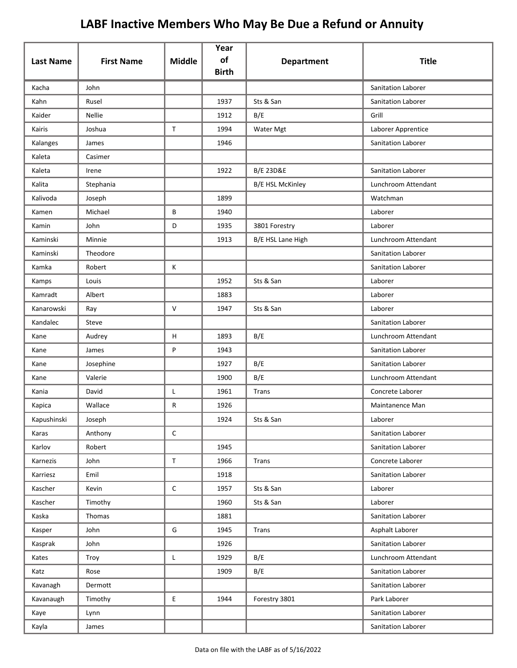|                  |                   |               | Year<br>of   |                         | <b>Title</b>              |
|------------------|-------------------|---------------|--------------|-------------------------|---------------------------|
| <b>Last Name</b> | <b>First Name</b> | <b>Middle</b> | <b>Birth</b> | <b>Department</b>       |                           |
| Kacha            | John              |               |              |                         | <b>Sanitation Laborer</b> |
| Kahn             | Rusel             |               | 1937         | Sts & San               | Sanitation Laborer        |
| Kaider           | <b>Nellie</b>     |               | 1912         | B/E                     | Grill                     |
| Kairis           | Joshua            | $\mathsf{T}$  | 1994         | Water Mgt               | Laborer Apprentice        |
| Kalanges         | James             |               | 1946         |                         | Sanitation Laborer        |
| Kaleta           | Casimer           |               |              |                         |                           |
| Kaleta           | Irene             |               | 1922         | <b>B/E 23D&amp;E</b>    | Sanitation Laborer        |
| Kalita           | Stephania         |               |              | <b>B/E HSL McKinley</b> | Lunchroom Attendant       |
| Kalivoda         | Joseph            |               | 1899         |                         | Watchman                  |
| Kamen            | Michael           | В             | 1940         |                         | Laborer                   |
| Kamin            | John              | D             | 1935         | 3801 Forestry           | Laborer                   |
| Kaminski         | Minnie            |               | 1913         | B/E HSL Lane High       | Lunchroom Attendant       |
| Kaminski         | Theodore          |               |              |                         | Sanitation Laborer        |
| Kamka            | Robert            | Κ             |              |                         | Sanitation Laborer        |
| Kamps            | Louis             |               | 1952         | Sts & San               | Laborer                   |
| Kamradt          | Albert            |               | 1883         |                         | Laborer                   |
| Kanarowski       | Ray               | V             | 1947         | Sts & San               | Laborer                   |
| Kandalec         | Steve             |               |              |                         | Sanitation Laborer        |
| Kane             | Audrey            | H             | 1893         | B/E                     | Lunchroom Attendant       |
| Kane             | James             | P             | 1943         |                         | Sanitation Laborer        |
| Kane             | Josephine         |               | 1927         | B/E                     | Sanitation Laborer        |
| Kane             | Valerie           |               | 1900         | B/E                     | Lunchroom Attendant       |
| Kania            | David             | Г             | 1961         | Trans                   | Concrete Laborer          |
| Kapica           | Wallace           | R             | 1926         |                         | Maintanence Man           |
| Kapushinski      | Joseph            |               | 1924         | Sts & San               | Laborer                   |
| Karas            | Anthony           | $\mathsf C$   |              |                         | Sanitation Laborer        |
| Karlov           | Robert            |               | 1945         |                         | Sanitation Laborer        |
| Karnezis         | John              | $\mathsf T$   | 1966         | <b>Trans</b>            | Concrete Laborer          |
| Karriesz         | Emil              |               | 1918         |                         | Sanitation Laborer        |
| Kascher          | Kevin             | $\mathsf C$   | 1957         | Sts & San               | Laborer                   |
| Kascher          | Timothy           |               | 1960         | Sts & San               | Laborer                   |
| Kaska            | Thomas            |               | 1881         |                         | Sanitation Laborer        |
| Kasper           | John              | G             | 1945         | Trans                   | Asphalt Laborer           |
| Kasprak          | John              |               | 1926         |                         | Sanitation Laborer        |
| Kates            | Troy              | L             | 1929         | B/E                     | Lunchroom Attendant       |
| Katz             | Rose              |               | 1909         | B/E                     | Sanitation Laborer        |
| Kavanagh         | Dermott           |               |              |                         | Sanitation Laborer        |
| Kavanaugh        | Timothy           | E.            | 1944         | Forestry 3801           | Park Laborer              |
| Kaye             | Lynn              |               |              |                         | Sanitation Laborer        |
| Kayla            | James             |               |              |                         | Sanitation Laborer        |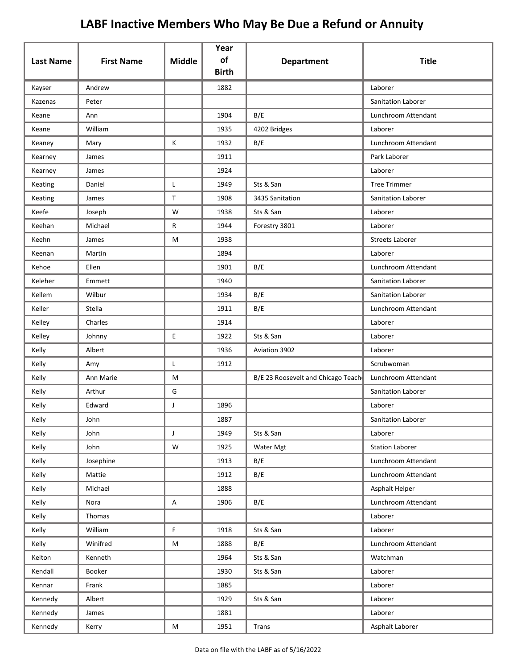|                  | <b>First Name</b> | <b>Middle</b> | Year<br>of   |                                    | <b>Title</b>           |
|------------------|-------------------|---------------|--------------|------------------------------------|------------------------|
| <b>Last Name</b> |                   |               | <b>Birth</b> | <b>Department</b>                  |                        |
| Kayser           | Andrew            |               | 1882         |                                    | Laborer                |
| Kazenas          | Peter             |               |              |                                    | Sanitation Laborer     |
| Keane            | Ann               |               | 1904         | B/E                                | Lunchroom Attendant    |
| Keane            | William           |               | 1935         | 4202 Bridges                       | Laborer                |
| Keaney           | Mary              | Κ             | 1932         | B/E                                | Lunchroom Attendant    |
| Kearney          | James             |               | 1911         |                                    | Park Laborer           |
| Kearney          | James             |               | 1924         |                                    | Laborer                |
| Keating          | Daniel            | Г             | 1949         | Sts & San                          | <b>Tree Trimmer</b>    |
| Keating          | James             | $\mathsf{T}$  | 1908         | 3435 Sanitation                    | Sanitation Laborer     |
| Keefe            | Joseph            | W             | 1938         | Sts & San                          | Laborer                |
| Keehan           | Michael           | R             | 1944         | Forestry 3801                      | Laborer                |
| Keehn            | James             | M             | 1938         |                                    | <b>Streets Laborer</b> |
| Keenan           | Martin            |               | 1894         |                                    | Laborer                |
| Kehoe            | Ellen             |               | 1901         | B/E                                | Lunchroom Attendant    |
| Keleher          | Emmett            |               | 1940         |                                    | Sanitation Laborer     |
| Kellem           | Wilbur            |               | 1934         | B/E                                | Sanitation Laborer     |
| Keller           | <b>Stella</b>     |               | 1911         | B/E                                | Lunchroom Attendant    |
| Kelley           | Charles           |               | 1914         |                                    | Laborer                |
| Kelley           | Johnny            | E             | 1922         | Sts & San                          | Laborer                |
| Kelly            | Albert            |               | 1936         | Aviation 3902                      | Laborer                |
| Kelly            | Amy               | L             | 1912         |                                    | Scrubwoman             |
| Kelly            | Ann Marie         | M             |              | B/E 23 Roosevelt and Chicago Teach | Lunchroom Attendant    |
| Kelly            | Arthur            | G             |              |                                    | Sanitation Laborer     |
| Kelly            | Edward            | J             | 1896         |                                    | Laborer                |
| Kelly            | John              |               | 1887         |                                    | Sanitation Laborer     |
| Kelly            | John              | J             | 1949         | Sts & San                          | Laborer                |
| Kelly            | John              | ${\mathsf W}$ | 1925         | Water Mgt                          | <b>Station Laborer</b> |
| Kelly            | Josephine         |               | 1913         | B/E                                | Lunchroom Attendant    |
| Kelly            | Mattie            |               | 1912         | B/E                                | Lunchroom Attendant    |
| Kelly            | Michael           |               | 1888         |                                    | Asphalt Helper         |
| Kelly            | Nora              | A             | 1906         | B/E                                | Lunchroom Attendant    |
| Kelly            | Thomas            |               |              |                                    | Laborer                |
| Kelly            | William           | $\mathsf F$   | 1918         | Sts & San                          | Laborer                |
| Kelly            | Winifred          | M             | 1888         | B/E                                | Lunchroom Attendant    |
| Kelton           | Kenneth           |               | 1964         | Sts & San                          | Watchman               |
| Kendall          | Booker            |               | 1930         | Sts & San                          | Laborer                |
| Kennar           | Frank             |               | 1885         |                                    | Laborer                |
| Kennedy          | Albert            |               | 1929         | Sts & San                          | Laborer                |
| Kennedy          | James             |               | 1881         |                                    | Laborer                |
| Kennedy          | Kerry             | M             | 1951         | Trans                              | Asphalt Laborer        |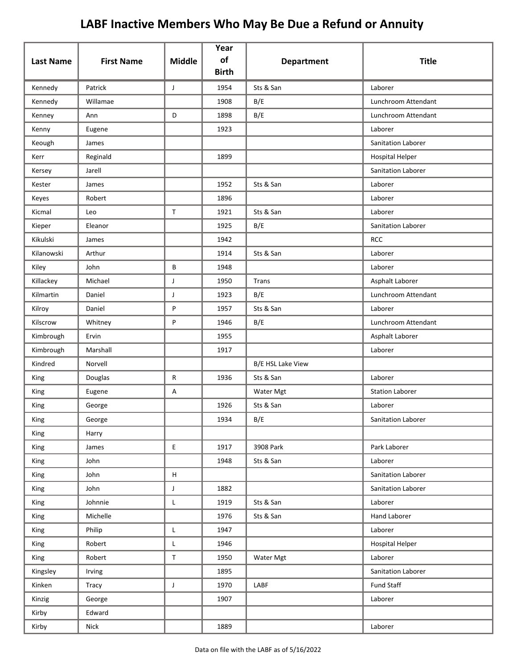| <b>Last Name</b> | <b>First Name</b> | <b>Middle</b> | Year<br>of   | <b>Department</b> | <b>Title</b>              |
|------------------|-------------------|---------------|--------------|-------------------|---------------------------|
|                  |                   |               | <b>Birth</b> |                   |                           |
| Kennedy          | Patrick           | J             | 1954         | Sts & San         | Laborer                   |
| Kennedy          | Willamae          |               | 1908         | B/E               | Lunchroom Attendant       |
| Kenney           | Ann               | D             | 1898         | B/E               | Lunchroom Attendant       |
| Kenny            | Eugene            |               | 1923         |                   | Laborer                   |
| Keough           | James             |               |              |                   | <b>Sanitation Laborer</b> |
| Kerr             | Reginald          |               | 1899         |                   | <b>Hospital Helper</b>    |
| Kersey           | Jarell            |               |              |                   | Sanitation Laborer        |
| Kester           | James             |               | 1952         | Sts & San         | Laborer                   |
| Keyes            | Robert            |               | 1896         |                   | Laborer                   |
| Kicmal           | Leo               | $\mathsf{T}$  | 1921         | Sts & San         | Laborer                   |
| Kieper           | Eleanor           |               | 1925         | B/E               | Sanitation Laborer        |
| Kikulski         | James             |               | 1942         |                   | <b>RCC</b>                |
| Kilanowski       | Arthur            |               | 1914         | Sts & San         | Laborer                   |
| Kiley            | John              | В             | 1948         |                   | Laborer                   |
| Killackey        | Michael           | J             | 1950         | Trans             | Asphalt Laborer           |
| Kilmartin        | Daniel            | J             | 1923         | B/E               | Lunchroom Attendant       |
| Kilroy           | Daniel            | P             | 1957         | Sts & San         | Laborer                   |
| Kilscrow         | Whitney           | P             | 1946         | B/E               | Lunchroom Attendant       |
| Kimbrough        | Ervin             |               | 1955         |                   | Asphalt Laborer           |
| Kimbrough        | Marshall          |               | 1917         |                   | Laborer                   |
| Kindred          | Norvell           |               |              | B/E HSL Lake View |                           |
| King             | Douglas           | R             | 1936         | Sts & San         | Laborer                   |
| King             | Eugene            | Α             |              | Water Mgt         | <b>Station Laborer</b>    |
| King             | George            |               | 1926         | Sts & San         | Laborer                   |
| King             | George            |               | 1934         | B/E               | Sanitation Laborer        |
| King             | Harry             |               |              |                   |                           |
| King             | James             | E.            | 1917         | 3908 Park         | Park Laborer              |
| King             | John              |               | 1948         | Sts & San         | Laborer                   |
| King             | John              | н             |              |                   | Sanitation Laborer        |
| King             | John              | J             | 1882         |                   | Sanitation Laborer        |
| King             | Johnnie           | L             | 1919         | Sts & San         | Laborer                   |
| King             | Michelle          |               | 1976         | Sts & San         | Hand Laborer              |
| King             | Philip            | L             | 1947         |                   | Laborer                   |
| King             | Robert            | Г             | 1946         |                   | <b>Hospital Helper</b>    |
| King             | Robert            | T             | 1950         | Water Mgt         | Laborer                   |
| Kingsley         | Irving            |               | 1895         |                   | Sanitation Laborer        |
| Kinken           | Tracy             | $\mathsf J$   | 1970         | LABF              | <b>Fund Staff</b>         |
| Kinzig           | George            |               | 1907         |                   | Laborer                   |
| Kirby            | Edward            |               |              |                   |                           |
| Kirby            | Nick              |               | 1889         |                   | Laborer                   |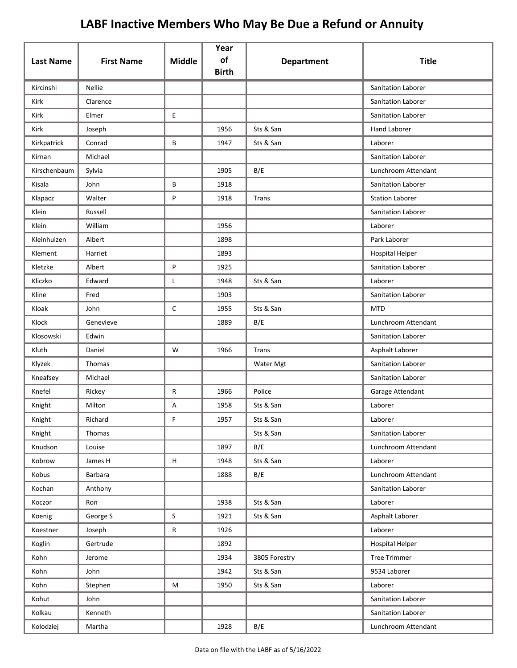|                  |                   |                           | Year               |                   |                        |
|------------------|-------------------|---------------------------|--------------------|-------------------|------------------------|
| <b>Last Name</b> | <b>First Name</b> | <b>Middle</b>             | of<br><b>Birth</b> | <b>Department</b> | <b>Title</b>           |
| Kircinshi        | <b>Nellie</b>     |                           |                    |                   | Sanitation Laborer     |
| Kirk             | Clarence          |                           |                    |                   | Sanitation Laborer     |
| Kirk             | Elmer             | E                         |                    |                   | Sanitation Laborer     |
| Kirk             | Joseph            |                           | 1956               | Sts & San         | <b>Hand Laborer</b>    |
| Kirkpatrick      | Conrad            | B                         | 1947               | Sts & San         | Laborer                |
| Kirnan           | Michael           |                           |                    |                   | Sanitation Laborer     |
| Kirschenbaum     | Sylvia            |                           | 1905               | B/E               | Lunchroom Attendant    |
| Kisala           | John              | В                         | 1918               |                   | Sanitation Laborer     |
| Klapacz          | Walter            | P                         | 1918               | Trans             | <b>Station Laborer</b> |
| Klein            | Russell           |                           |                    |                   | Sanitation Laborer     |
| Klein            | William           |                           | 1956               |                   | Laborer                |
| Kleinhuizen      | Albert            |                           | 1898               |                   | Park Laborer           |
| Klement          | Harriet           |                           | 1893               |                   | <b>Hospital Helper</b> |
| Kletzke          | Albert            | P                         | 1925               |                   | Sanitation Laborer     |
| Kliczko          | Edward            | L                         | 1948               | Sts & San         | Laborer                |
| Kline            | Fred              |                           | 1903               |                   | Sanitation Laborer     |
| Kloak            | John              | $\mathsf{C}$              | 1955               | Sts & San         | <b>MTD</b>             |
| Klock            | Genevieve         |                           | 1889               | B/E               | Lunchroom Attendant    |
| Klosowski        | Edwin             |                           |                    |                   | Sanitation Laborer     |
| Kluth            | Daniel            | W                         | 1966               | Trans             | Asphalt Laborer        |
| Klyzek           | Thomas            |                           |                    | Water Mgt         | Sanitation Laborer     |
| Kneafsey         | Michael           |                           |                    |                   | Sanitation Laborer     |
| Knefel           | Rickey            | R                         | 1966               | Police            | Garage Attendant       |
| Knight           | Milton            | Α                         | 1958               | Sts & San         | Laborer                |
| Knight           | Richard           | F                         | 1957               | Sts & San         | Laborer                |
| Knight           | Thomas            |                           |                    | Sts & San         | Sanitation Laborer     |
| Knudson          | Louise            |                           | 1897               | B/E               | Lunchroom Attendant    |
| Kobrow           | James H           | $\boldsymbol{\mathsf{H}}$ | 1948               | Sts & San         | Laborer                |
| Kobus            | Barbara           |                           | 1888               | B/E               | Lunchroom Attendant    |
| Kochan           | Anthony           |                           |                    |                   | Sanitation Laborer     |
| Koczor           | Ron               |                           | 1938               | Sts & San         | Laborer                |
| Koenig           | George S          | $\sf S$                   | 1921               | Sts & San         | Asphalt Laborer        |
| Koestner         | Joseph            | $\mathsf{R}$              | 1926               |                   | Laborer                |
| Koglin           | Gertrude          |                           | 1892               |                   | <b>Hospital Helper</b> |
| Kohn             | Jerome            |                           | 1934               | 3805 Forestry     | <b>Tree Trimmer</b>    |
| Kohn             | John              |                           | 1942               | Sts & San         | 9534 Laborer           |
| Kohn             | Stephen           | M                         | 1950               | Sts & San         | Laborer                |
| Kohut            | John              |                           |                    |                   | Sanitation Laborer     |
| Kolkau           | Kenneth           |                           |                    |                   | Sanitation Laborer     |
| Kolodziej        | Martha            |                           | 1928               | B/E               | Lunchroom Attendant    |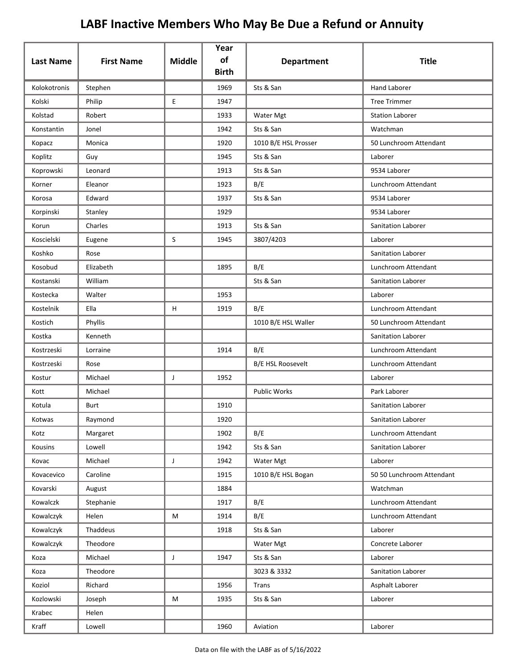| <b>Last Name</b> | <b>First Name</b> | <b>Middle</b> | Year<br>of<br><b>Birth</b> | <b>Department</b>        | <b>Title</b>              |
|------------------|-------------------|---------------|----------------------------|--------------------------|---------------------------|
| Kolokotronis     | Stephen           |               | 1969                       | Sts & San                | <b>Hand Laborer</b>       |
| Kolski           | Philip            | E             | 1947                       |                          | <b>Tree Trimmer</b>       |
| Kolstad          | Robert            |               | 1933                       | Water Mgt                | <b>Station Laborer</b>    |
| Konstantin       | Jonel             |               | 1942                       | Sts & San                | Watchman                  |
| Kopacz           | Monica            |               | 1920                       | 1010 B/E HSL Prosser     | 50 Lunchroom Attendant    |
| Koplitz          | Guy               |               | 1945                       | Sts & San                | Laborer                   |
| Koprowski        | Leonard           |               | 1913                       | Sts & San                | 9534 Laborer              |
| Korner           | Eleanor           |               | 1923                       | B/E                      | Lunchroom Attendant       |
| Korosa           | Edward            |               | 1937                       | Sts & San                | 9534 Laborer              |
| Korpinski        | Stanley           |               | 1929                       |                          | 9534 Laborer              |
| Korun            | Charles           |               | 1913                       | Sts & San                | Sanitation Laborer        |
| Koscielski       | Eugene            | S             | 1945                       | 3807/4203                | Laborer                   |
| Koshko           | Rose              |               |                            |                          | Sanitation Laborer        |
| Kosobud          | Elizabeth         |               | 1895                       | B/E                      | Lunchroom Attendant       |
| Kostanski        | William           |               |                            | Sts & San                | Sanitation Laborer        |
| Kostecka         | Walter            |               | 1953                       |                          | Laborer                   |
| Kostelnik        | Ella              | H             | 1919                       | B/E                      | Lunchroom Attendant       |
| Kostich          | Phyllis           |               |                            | 1010 B/E HSL Waller      | 50 Lunchroom Attendant    |
| Kostka           | Kenneth           |               |                            |                          | Sanitation Laborer        |
| Kostrzeski       | Lorraine          |               | 1914                       | B/E                      | Lunchroom Attendant       |
| Kostrzeski       | Rose              |               |                            | <b>B/E HSL Roosevelt</b> | Lunchroom Attendant       |
| Kostur           | Michael           | J             | 1952                       |                          | Laborer                   |
| Kott             | Michael           |               |                            | <b>Public Works</b>      | Park Laborer              |
| Kotula           | Burt              |               | 1910                       |                          | Sanitation Laborer        |
| Kotwas           | Raymond           |               | 1920                       |                          | Sanitation Laborer        |
| Kotz             | Margaret          |               | 1902                       | B/E                      | Lunchroom Attendant       |
| Kousins          | Lowell            |               | 1942                       | Sts & San                | Sanitation Laborer        |
| Kovac            | Michael           | J             | 1942                       | Water Mgt                | Laborer                   |
| Kovacevico       | Caroline          |               | 1915                       | 1010 B/E HSL Bogan       | 50 50 Lunchroom Attendant |
| Kovarski         | August            |               | 1884                       |                          | Watchman                  |
| Kowalczk         | Stephanie         |               | 1917                       | B/E                      | Lunchroom Attendant       |
| Kowalczyk        | Helen             | M             | 1914                       | B/E                      | Lunchroom Attendant       |
| Kowalczyk        | Thaddeus          |               | 1918                       | Sts & San                | Laborer                   |
| Kowalczyk        | Theodore          |               |                            | Water Mgt                | Concrete Laborer          |
| Koza             | Michael           | J             | 1947                       | Sts & San                | Laborer                   |
| Koza             | Theodore          |               |                            | 3023 & 3332              | Sanitation Laborer        |
| Koziol           | Richard           |               | 1956                       | Trans                    | Asphalt Laborer           |
| Kozlowski        | Joseph            | M             | 1935                       | Sts & San                | Laborer                   |
| Krabec           | Helen             |               |                            |                          |                           |
| Kraff            | Lowell            |               | 1960                       | Aviation                 | Laborer                   |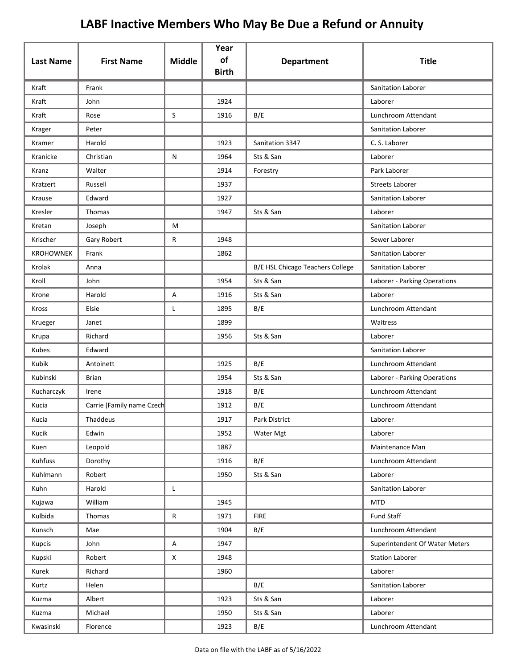| <b>Last Name</b> | <b>First Name</b>         | <b>Middle</b> | Year<br>of<br><b>Birth</b> | <b>Department</b>                | <b>Title</b>                   |
|------------------|---------------------------|---------------|----------------------------|----------------------------------|--------------------------------|
| Kraft            | Frank                     |               |                            |                                  | Sanitation Laborer             |
| Kraft            | John                      |               | 1924                       |                                  | Laborer                        |
| Kraft            | Rose                      | S             | 1916                       | B/E                              | Lunchroom Attendant            |
| Krager           | Peter                     |               |                            |                                  | Sanitation Laborer             |
| Kramer           | Harold                    |               | 1923                       | Sanitation 3347                  | C. S. Laborer                  |
| Kranicke         | Christian                 | ${\sf N}$     | 1964                       | Sts & San                        | Laborer                        |
| Kranz            | Walter                    |               | 1914                       | Forestry                         | Park Laborer                   |
| Kratzert         | Russell                   |               | 1937                       |                                  | <b>Streets Laborer</b>         |
| Krause           | Edward                    |               | 1927                       |                                  | Sanitation Laborer             |
| Kresler          | Thomas                    |               | 1947                       | Sts & San                        | Laborer                        |
| Kretan           | Joseph                    | M             |                            |                                  | Sanitation Laborer             |
| Krischer         | Gary Robert               | R             | 1948                       |                                  | Sewer Laborer                  |
| <b>KROHOWNEK</b> | Frank                     |               | 1862                       |                                  | <b>Sanitation Laborer</b>      |
| Krolak           | Anna                      |               |                            | B/E HSL Chicago Teachers College | Sanitation Laborer             |
| Kroll            | John                      |               | 1954                       | Sts & San                        | Laborer - Parking Operations   |
| Krone            | Harold                    | A             | 1916                       | Sts & San                        | Laborer                        |
| Kross            | Elsie                     | L             | 1895                       | B/E                              | Lunchroom Attendant            |
| Krueger          | Janet                     |               | 1899                       |                                  | Waitress                       |
| Krupa            | Richard                   |               | 1956                       | Sts & San                        | Laborer                        |
| Kubes            | Edward                    |               |                            |                                  | Sanitation Laborer             |
| Kubik            | Antoinett                 |               | 1925                       | B/E                              | Lunchroom Attendant            |
| Kubinski         | <b>Brian</b>              |               | 1954                       | Sts & San                        | Laborer - Parking Operations   |
| Kucharczyk       | Irene                     |               | 1918                       | B/E                              | Lunchroom Attendant            |
| Kucia            | Carrie (Family name Czech |               | 1912                       | B/E                              | Lunchroom Attendant            |
| Kucia            | Thaddeus                  |               | 1917                       | Park District                    | Laborer                        |
| Kucik            | Edwin                     |               | 1952                       | Water Mgt                        | Laborer                        |
| Kuen             | Leopold                   |               | 1887                       |                                  | Maintenance Man                |
| Kuhfuss          | Dorothy                   |               | 1916                       | B/E                              | Lunchroom Attendant            |
| Kuhlmann         | Robert                    |               | 1950                       | Sts & San                        | Laborer                        |
| Kuhn             | Harold                    | L.            |                            |                                  | Sanitation Laborer             |
| Kujawa           | William                   |               | 1945                       |                                  | <b>MTD</b>                     |
| Kulbida          | Thomas                    | ${\sf R}$     | 1971                       | <b>FIRE</b>                      | <b>Fund Staff</b>              |
| Kunsch           | Mae                       |               | 1904                       | B/E                              | Lunchroom Attendant            |
| Kupcis           | John                      | A             | 1947                       |                                  | Superintendent Of Water Meters |
| Kupski           | Robert                    | X             | 1948                       |                                  | <b>Station Laborer</b>         |
| Kurek            | Richard                   |               | 1960                       |                                  | Laborer                        |
| Kurtz            | Helen                     |               |                            | B/E                              | Sanitation Laborer             |
| Kuzma            | Albert                    |               | 1923                       | Sts & San                        | Laborer                        |
| Kuzma            | Michael                   |               | 1950                       | Sts & San                        | Laborer                        |
| Kwasinski        | Florence                  |               | 1923                       | B/E                              | Lunchroom Attendant            |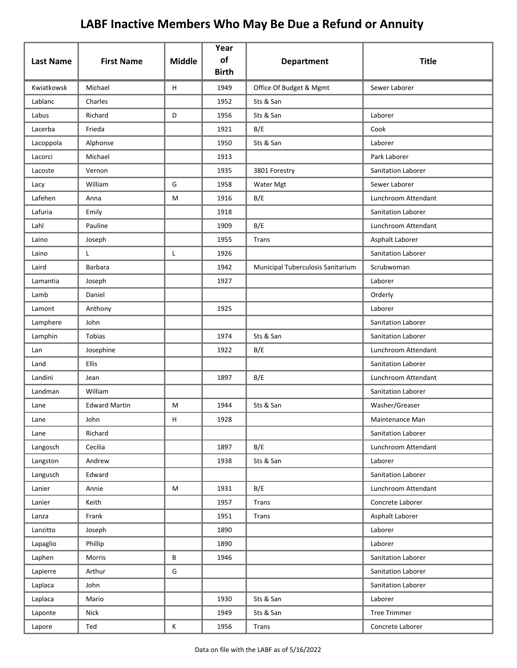|                  |                      |               | Year               |                                   |                     |
|------------------|----------------------|---------------|--------------------|-----------------------------------|---------------------|
| <b>Last Name</b> | <b>First Name</b>    | <b>Middle</b> | of<br><b>Birth</b> | <b>Department</b>                 | <b>Title</b>        |
| Kwiatkowsk       | Michael              | H             | 1949               | Office Of Budget & Mgmt           | Sewer Laborer       |
| Lablanc          | Charles              |               | 1952               | Sts & San                         |                     |
| Labus            | Richard              | D             | 1956               | Sts & San                         | Laborer             |
| Lacerba          | Frieda               |               | 1921               | B/E                               | Cook                |
| Lacoppola        | Alphonse             |               | 1950               | Sts & San                         | Laborer             |
| Lacorci          | Michael              |               | 1913               |                                   | Park Laborer        |
| Lacoste          | Vernon               |               | 1935               | 3801 Forestry                     | Sanitation Laborer  |
| Lacy             | William              | G             | 1958               | Water Mgt                         | Sewer Laborer       |
| Lafehen          | Anna                 | M             | 1916               | B/E                               | Lunchroom Attendant |
| Lafuria          | Emily                |               | 1918               |                                   | Sanitation Laborer  |
| Lahl             | Pauline              |               | 1909               | B/E                               | Lunchroom Attendant |
| Laino            | Joseph               |               | 1955               | Trans                             | Asphalt Laborer     |
| Laino            | L                    | L             | 1926               |                                   | Sanitation Laborer  |
| Laird            | <b>Barbara</b>       |               | 1942               | Municipal Tuberculosis Sanitarium | Scrubwoman          |
| Lamantia         | Joseph               |               | 1927               |                                   | Laborer             |
| Lamb             | Daniel               |               |                    |                                   | Orderly             |
| Lamont           | Anthony              |               | 1925               |                                   | Laborer             |
| Lamphere         | John                 |               |                    |                                   | Sanitation Laborer  |
| Lamphin          | Tobias               |               | 1974               | Sts & San                         | Sanitation Laborer  |
| Lan              | Josephine            |               | 1922               | B/E                               | Lunchroom Attendant |
| Land             | <b>Ellis</b>         |               |                    |                                   | Sanitation Laborer  |
| Landini          | Jean                 |               | 1897               | B/E                               | Lunchroom Attendant |
| Landman          | William              |               |                    |                                   | Sanitation Laborer  |
| Lane             | <b>Edward Martin</b> | М             | 1944               | Sts & San                         | Washer/Greaser      |
| Lane             | John                 | н             | 1928               |                                   | Maintenance Man     |
| Lane             | Richard              |               |                    |                                   | Sanitation Laborer  |
| Langosch         | Cecilia              |               | 1897               | B/E                               | Lunchroom Attendant |
| Langston         | Andrew               |               | 1938               | Sts & San                         | Laborer             |
| Langusch         | Edward               |               |                    |                                   | Sanitation Laborer  |
| Lanier           | Annie                | M             | 1931               | B/E                               | Lunchroom Attendant |
| Lanier           | Keith                |               | 1957               | <b>Trans</b>                      | Concrete Laborer    |
| Lanza            | Frank                |               | 1951               | Trans                             | Asphalt Laborer     |
| Lanzitto         | Joseph               |               | 1890               |                                   | Laborer             |
| Lapaglio         | Phillip              |               | 1890               |                                   | Laborer             |
| Laphen           | Morris               | B             | 1946               |                                   | Sanitation Laborer  |
| Lapierre         | Arthur               | G             |                    |                                   | Sanitation Laborer  |
| Laplaca          | John                 |               |                    |                                   | Sanitation Laborer  |
| Laplaca          | Mario                |               | 1930               | Sts & San                         | Laborer             |
| Laponte          | Nick                 |               | 1949               | Sts & San                         | <b>Tree Trimmer</b> |
| Lapore           | Ted                  | Κ             | 1956               | <b>Trans</b>                      | Concrete Laborer    |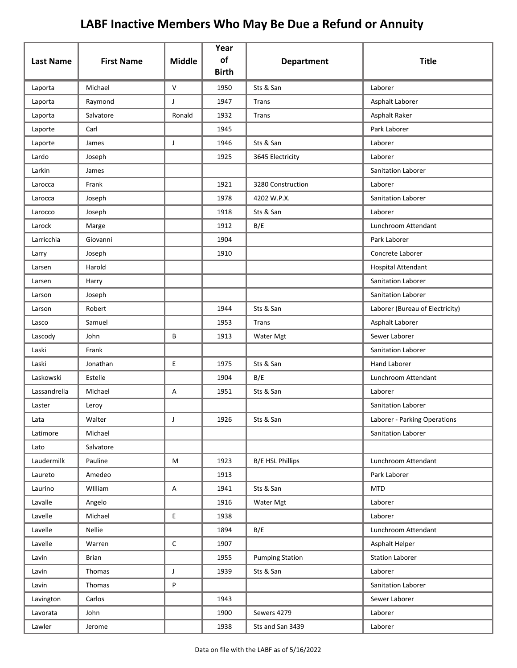| <b>Last Name</b> | <b>First Name</b> | <b>Middle</b> | Year<br>of   | <b>Department</b>       | <b>Title</b>                    |
|------------------|-------------------|---------------|--------------|-------------------------|---------------------------------|
|                  |                   |               | <b>Birth</b> |                         |                                 |
| Laporta          | Michael           | V             | 1950         | Sts & San               | Laborer                         |
| Laporta          | Raymond           | J             | 1947         | Trans                   | Asphalt Laborer                 |
| Laporta          | Salvatore         | Ronald        | 1932         | Trans                   | Asphalt Raker                   |
| Laporte          | Carl              |               | 1945         |                         | Park Laborer                    |
| Laporte          | James             | $\mathsf J$   | 1946         | Sts & San               | Laborer                         |
| Lardo            | Joseph            |               | 1925         | 3645 Electricity        | Laborer                         |
| Larkin           | James             |               |              |                         | Sanitation Laborer              |
| Larocca          | Frank             |               | 1921         | 3280 Construction       | Laborer                         |
| Larocca          | Joseph            |               | 1978         | 4202 W.P.X.             | <b>Sanitation Laborer</b>       |
| Larocco          | Joseph            |               | 1918         | Sts & San               | Laborer                         |
| Larock           | Marge             |               | 1912         | B/E                     | Lunchroom Attendant             |
| Larricchia       | Giovanni          |               | 1904         |                         | Park Laborer                    |
| Larry            | Joseph            |               | 1910         |                         | Concrete Laborer                |
| Larsen           | Harold            |               |              |                         | Hospital Attendant              |
| Larsen           | Harry             |               |              |                         | Sanitation Laborer              |
| Larson           | Joseph            |               |              |                         | Sanitation Laborer              |
| Larson           | Robert            |               | 1944         | Sts & San               | Laborer (Bureau of Electricity) |
| Lasco            | Samuel            |               | 1953         | Trans                   | Asphalt Laborer                 |
| Lascody          | John              | В             | 1913         | Water Mgt               | Sewer Laborer                   |
| Laski            | Frank             |               |              |                         | Sanitation Laborer              |
| Laski            | Jonathan          | E.            | 1975         | Sts & San               | <b>Hand Laborer</b>             |
| Laskowski        | Estelle           |               | 1904         | B/E                     | Lunchroom Attendant             |
| Lassandrella     | Michael           | Α             | 1951         | Sts & San               | Laborer                         |
| Laster           | Leroy             |               |              |                         | <b>Sanitation Laborer</b>       |
| Lata             | Walter            | J             | 1926         | Sts & San               | Laborer - Parking Operations    |
| Latimore         | Michael           |               |              |                         | Sanitation Laborer              |
| Lato             | Salvatore         |               |              |                         |                                 |
| Laudermilk       | Pauline           | М             | 1923         | <b>B/E HSL Phillips</b> | Lunchroom Attendant             |
| Laureto          | Amedeo            |               | 1913         |                         | Park Laborer                    |
| Laurino          | William           | Α             | 1941         | Sts & San               | <b>MTD</b>                      |
| Lavalle          | Angelo            |               | 1916         | Water Mgt               | Laborer                         |
| Lavelle          | Michael           | E             | 1938         |                         | Laborer                         |
| Lavelle          | Nellie            |               | 1894         | B/E                     | Lunchroom Attendant             |
| Lavelle          | Warren            | С             | 1907         |                         | Asphalt Helper                  |
| Lavin            | <b>Brian</b>      |               | 1955         | <b>Pumping Station</b>  | <b>Station Laborer</b>          |
| Lavin            | Thomas            | J             | 1939         | Sts & San               | Laborer                         |
| Lavin            | Thomas            | P             |              |                         | Sanitation Laborer              |
| Lavington        | Carlos            |               | 1943         |                         | Sewer Laborer                   |
| Lavorata         | John              |               | 1900         | Sewers 4279             | Laborer                         |
| Lawler           | Jerome            |               | 1938         | Sts and San 3439        | Laborer                         |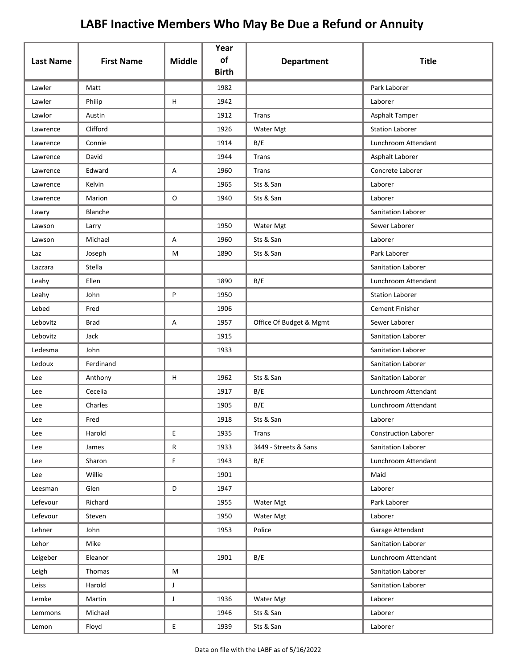| <b>Last Name</b> | <b>First Name</b> | <b>Middle</b>  | Year<br>of   | <b>Department</b>       | <b>Title</b>                |
|------------------|-------------------|----------------|--------------|-------------------------|-----------------------------|
|                  |                   |                | <b>Birth</b> |                         |                             |
| Lawler           | Matt              |                | 1982         |                         | Park Laborer                |
| Lawler           | Philip            | H              | 1942         |                         | Laborer                     |
| Lawlor           | Austin            |                | 1912         | Trans                   | Asphalt Tamper              |
| Lawrence         | Clifford          |                | 1926         | Water Mgt               | <b>Station Laborer</b>      |
| Lawrence         | Connie            |                | 1914         | B/E                     | Lunchroom Attendant         |
| Lawrence         | David             |                | 1944         | Trans                   | Asphalt Laborer             |
| Lawrence         | Edward            | Α              | 1960         | Trans                   | Concrete Laborer            |
| Lawrence         | Kelvin            |                | 1965         | Sts & San               | Laborer                     |
| Lawrence         | Marion            | O              | 1940         | Sts & San               | Laborer                     |
| Lawry            | Blanche           |                |              |                         | Sanitation Laborer          |
| Lawson           | Larry             |                | 1950         | Water Mgt               | Sewer Laborer               |
| Lawson           | Michael           | А              | 1960         | Sts & San               | Laborer                     |
| Laz              | Joseph            | M              | 1890         | Sts & San               | Park Laborer                |
| Lazzara          | Stella            |                |              |                         | Sanitation Laborer          |
| Leahy            | Ellen             |                | 1890         | B/E                     | Lunchroom Attendant         |
| Leahy            | John              | P              | 1950         |                         | <b>Station Laborer</b>      |
| Lebed            | Fred              |                | 1906         |                         | <b>Cement Finisher</b>      |
| Lebovitz         | <b>Brad</b>       | Α              | 1957         | Office Of Budget & Mgmt | Sewer Laborer               |
| Lebovitz         | Jack              |                | 1915         |                         | Sanitation Laborer          |
| Ledesma          | John              |                | 1933         |                         | Sanitation Laborer          |
| Ledoux           | Ferdinand         |                |              |                         | Sanitation Laborer          |
| Lee              | Anthony           | H              | 1962         | Sts & San               | Sanitation Laborer          |
| Lee              | Cecelia           |                | 1917         | B/E                     | Lunchroom Attendant         |
| Lee              | Charles           |                | 1905         | B/E                     | Lunchroom Attendant         |
| Lee              | Fred              |                | 1918         | Sts & San               | Laborer                     |
| Lee              | Harold            | E              | 1935         | Trans                   | <b>Construction Laborer</b> |
| Lee              | James             | R              | 1933         | 3449 - Streets & Sans   | Sanitation Laborer          |
| Lee              | Sharon            | F              | 1943         | B/E                     | Lunchroom Attendant         |
| Lee              | Willie            |                | 1901         |                         | Maid                        |
| Leesman          | Glen              | D              | 1947         |                         | Laborer                     |
| Lefevour         | Richard           |                | 1955         | Water Mgt               | Park Laborer                |
| Lefevour         | Steven            |                | 1950         | Water Mgt               | Laborer                     |
| Lehner           | John              |                | 1953         | Police                  | Garage Attendant            |
| Lehor            | Mike              |                |              |                         | Sanitation Laborer          |
| Leigeber         | Eleanor           |                | 1901         | B/E                     | Lunchroom Attendant         |
| Leigh            | Thomas            | M              |              |                         | Sanitation Laborer          |
| Leiss            | Harold            | J              |              |                         | Sanitation Laborer          |
| Lemke            | Martin            | J              | 1936         | Water Mgt               | Laborer                     |
| Lemmons          | Michael           |                | 1946         | Sts & San               | Laborer                     |
| Lemon            | Floyd             | $\mathsf{E}^-$ | 1939         | Sts & San               | Laborer                     |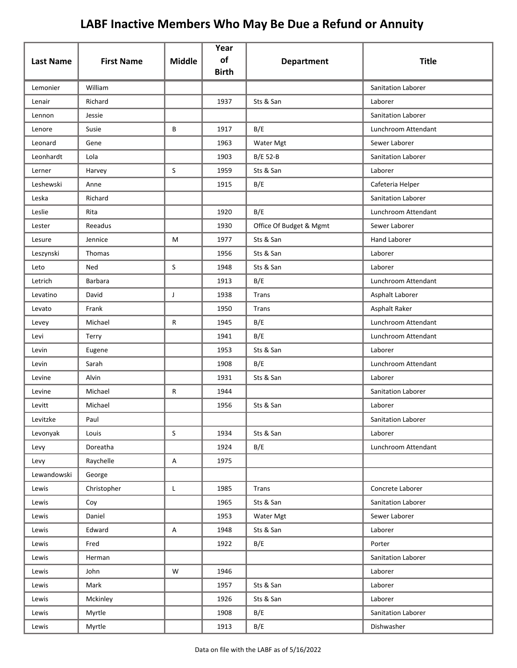| <b>Last Name</b> | <b>First Name</b> | <b>Middle</b> | Year<br>of   | <b>Department</b>       | <b>Title</b>        |
|------------------|-------------------|---------------|--------------|-------------------------|---------------------|
|                  |                   |               | <b>Birth</b> |                         |                     |
| Lemonier         | William           |               |              |                         | Sanitation Laborer  |
| Lenair           | Richard           |               | 1937         | Sts & San               | Laborer             |
| Lennon           | Jessie            |               |              |                         | Sanitation Laborer  |
| Lenore           | Susie             | B             | 1917         | B/E                     | Lunchroom Attendant |
| Leonard          | Gene              |               | 1963         | Water Mgt               | Sewer Laborer       |
| Leonhardt        | Lola              |               | 1903         | <b>B/E 52-B</b>         | Sanitation Laborer  |
| Lerner           | Harvey            | S             | 1959         | Sts & San               | Laborer             |
| Leshewski        | Anne              |               | 1915         | B/E                     | Cafeteria Helper    |
| Leska            | Richard           |               |              |                         | Sanitation Laborer  |
| Leslie           | Rita              |               | 1920         | B/E                     | Lunchroom Attendant |
| Lester           | Reeadus           |               | 1930         | Office Of Budget & Mgmt | Sewer Laborer       |
| Lesure           | Jennice           | M             | 1977         | Sts & San               | Hand Laborer        |
| Leszynski        | Thomas            |               | 1956         | Sts & San               | Laborer             |
| Leto             | Ned               | $\mathsf{S}$  | 1948         | Sts & San               | Laborer             |
| Letrich          | Barbara           |               | 1913         | B/E                     | Lunchroom Attendant |
| Levatino         | David             | J             | 1938         | Trans                   | Asphalt Laborer     |
| Levato           | Frank             |               | 1950         | Trans                   | Asphalt Raker       |
| Levey            | Michael           | R             | 1945         | B/E                     | Lunchroom Attendant |
| Levi             | Terry             |               | 1941         | B/E                     | Lunchroom Attendant |
| Levin            | Eugene            |               | 1953         | Sts & San               | Laborer             |
| Levin            | Sarah             |               | 1908         | B/E                     | Lunchroom Attendant |
| Levine           | Alvin             |               | 1931         | Sts & San               | Laborer             |
| Levine           | Michael           | R             | 1944         |                         | Sanitation Laborer  |
| Levitt           | Michael           |               | 1956         | Sts & San               | Laborer             |
| Levitzke         | Paul              |               |              |                         | Sanitation Laborer  |
| Levonyak         | Louis             | $\sf S$       | 1934         | Sts & San               | Laborer             |
| Levy             | Doreatha          |               | 1924         | B/E                     | Lunchroom Attendant |
| Levy             | Raychelle         | Α             | 1975         |                         |                     |
| Lewandowski      | George            |               |              |                         |                     |
| Lewis            | Christopher       | L             | 1985         | Trans                   | Concrete Laborer    |
| Lewis            | Coy               |               | 1965         | Sts & San               | Sanitation Laborer  |
| Lewis            | Daniel            |               | 1953         | Water Mgt               | Sewer Laborer       |
| Lewis            | Edward            | Α             | 1948         | Sts & San               | Laborer             |
| Lewis            | Fred              |               | 1922         | B/E                     | Porter              |
| Lewis            | Herman            |               |              |                         | Sanitation Laborer  |
| Lewis            | John              | W             | 1946         |                         | Laborer             |
| Lewis            | Mark              |               | 1957         | Sts & San               | Laborer             |
| Lewis            | Mckinley          |               | 1926         | Sts & San               | Laborer             |
| Lewis            | Myrtle            |               | 1908         | B/E                     | Sanitation Laborer  |
| Lewis            | Myrtle            |               | 1913         | B/E                     | Dishwasher          |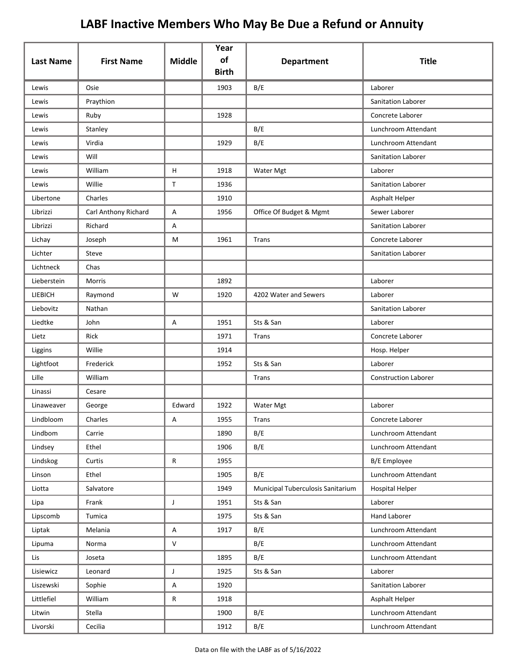| <b>Last Name</b> | <b>First Name</b>    | <b>Middle</b>             | Year<br>of<br><b>Birth</b> | <b>Department</b>                 | <b>Title</b>                |
|------------------|----------------------|---------------------------|----------------------------|-----------------------------------|-----------------------------|
| Lewis            | Osie                 |                           | 1903                       | B/E                               | Laborer                     |
| Lewis            | Praythion            |                           |                            |                                   | Sanitation Laborer          |
| Lewis            | Ruby                 |                           | 1928                       |                                   | Concrete Laborer            |
| Lewis            | Stanley              |                           |                            | B/E                               | Lunchroom Attendant         |
| Lewis            | Virdia               |                           | 1929                       | B/E                               | Lunchroom Attendant         |
| Lewis            | Will                 |                           |                            |                                   | <b>Sanitation Laborer</b>   |
| Lewis            | William              | H                         | 1918                       | Water Mgt                         | Laborer                     |
| Lewis            | Willie               | $\mathsf{T}$              | 1936                       |                                   | Sanitation Laborer          |
| Libertone        | Charles              |                           | 1910                       |                                   | Asphalt Helper              |
| Librizzi         | Carl Anthony Richard | Α                         | 1956                       | Office Of Budget & Mgmt           | Sewer Laborer               |
| Librizzi         | Richard              | Α                         |                            |                                   | Sanitation Laborer          |
| Lichay           | Joseph               | М                         | 1961                       | Trans                             | Concrete Laborer            |
| Lichter          | Steve                |                           |                            |                                   | Sanitation Laborer          |
| Lichtneck        | Chas                 |                           |                            |                                   |                             |
| Lieberstein      | Morris               |                           | 1892                       |                                   | Laborer                     |
| LIEBICH          | Raymond              | W                         | 1920                       | 4202 Water and Sewers             | Laborer                     |
| Liebovitz        | Nathan               |                           |                            |                                   | Sanitation Laborer          |
| Liedtke          | John                 | A                         | 1951                       | Sts & San                         | Laborer                     |
| Lietz            | Rick                 |                           | 1971                       | Trans                             | Concrete Laborer            |
| Liggins          | Willie               |                           | 1914                       |                                   | Hosp. Helper                |
| Lightfoot        | Frederick            |                           | 1952                       | Sts & San                         | Laborer                     |
| Lille            | William              |                           |                            | Trans                             | <b>Construction Laborer</b> |
| Linassi          | Cesare               |                           |                            |                                   |                             |
| Linaweaver       | George               | Edward                    | 1922                       | <b>Water Mgt</b>                  | Laborer                     |
| Lindbloom        | Charles              | А                         | 1955                       | Trans                             | Concrete Laborer            |
| Lindbom          | Carrie               |                           | 1890                       | B/E                               | Lunchroom Attendant         |
| Lindsey          | Ethel                |                           | 1906                       | B/E                               | Lunchroom Attendant         |
| Lindskog         | Curtis               | $\mathsf{R}$              | 1955                       |                                   | <b>B/E</b> Employee         |
| Linson           | Ethel                |                           | 1905                       | B/E                               | Lunchroom Attendant         |
| Liotta           | Salvatore            |                           | 1949                       | Municipal Tuberculosis Sanitarium | <b>Hospital Helper</b>      |
| Lipa             | Frank                | J                         | 1951                       | Sts & San                         | Laborer                     |
| Lipscomb         | Tumica               |                           | 1975                       | Sts & San                         | Hand Laborer                |
| Liptak           | Melania              | $\boldsymbol{\mathsf{A}}$ | 1917                       | B/E                               | Lunchroom Attendant         |
| Lipuma           | Norma                | $\mathsf{V}$              |                            | B/E                               | Lunchroom Attendant         |
| Lis              | Joseta               |                           | 1895                       | B/E                               | Lunchroom Attendant         |
| Lisiewicz        | Leonard              | $\mathsf J$               | 1925                       | Sts & San                         | Laborer                     |
| Liszewski        | Sophie               | A                         | 1920                       |                                   | Sanitation Laborer          |
| Littlefiel       | William              | $\mathsf{R}$              | 1918                       |                                   | Asphalt Helper              |
| Litwin           | Stella               |                           | 1900                       | B/E                               | Lunchroom Attendant         |
| Livorski         | Cecilia              |                           | 1912                       | B/E                               | Lunchroom Attendant         |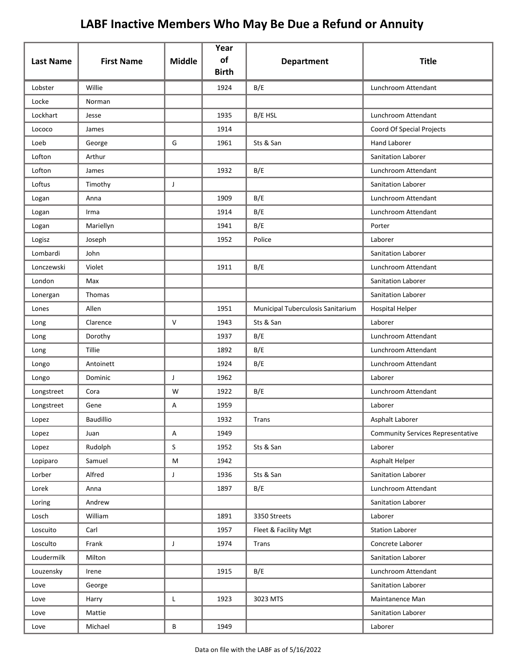| <b>Last Name</b> | <b>First Name</b> | <b>Middle</b> | Year<br>of<br><b>Birth</b> | <b>Department</b>                 | <b>Title</b>                             |
|------------------|-------------------|---------------|----------------------------|-----------------------------------|------------------------------------------|
| Lobster          | Willie            |               | 1924                       | B/E                               | Lunchroom Attendant                      |
| Locke            | Norman            |               |                            |                                   |                                          |
| Lockhart         | Jesse             |               | 1935                       | B/E HSL                           | Lunchroom Attendant                      |
| Lococo           | James             |               | 1914                       |                                   | Coord Of Special Projects                |
| Loeb             | George            | G             | 1961                       | Sts & San                         | <b>Hand Laborer</b>                      |
| Lofton           | Arthur            |               |                            |                                   | Sanitation Laborer                       |
| Lofton           | James             |               | 1932                       | B/E                               | Lunchroom Attendant                      |
| Loftus           | Timothy           | J             |                            |                                   | Sanitation Laborer                       |
| Logan            | Anna              |               | 1909                       | B/E                               | Lunchroom Attendant                      |
| Logan            | Irma              |               | 1914                       | B/E                               | Lunchroom Attendant                      |
| Logan            | Mariellyn         |               | 1941                       | B/E                               | Porter                                   |
| Logisz           | Joseph            |               | 1952                       | Police                            | Laborer                                  |
| Lombardi         | John              |               |                            |                                   | Sanitation Laborer                       |
| Lonczewski       | Violet            |               | 1911                       | B/E                               | Lunchroom Attendant                      |
| London           | Max               |               |                            |                                   | Sanitation Laborer                       |
| Lonergan         | Thomas            |               |                            |                                   | Sanitation Laborer                       |
| Lones            | Allen             |               | 1951                       | Municipal Tuberculosis Sanitarium | <b>Hospital Helper</b>                   |
| Long             | Clarence          | $\mathsf{V}$  | 1943                       | Sts & San                         | Laborer                                  |
| Long             | Dorothy           |               | 1937                       | B/E                               | Lunchroom Attendant                      |
| Long             | <b>Tillie</b>     |               | 1892                       | B/E                               | Lunchroom Attendant                      |
| Longo            | Antoinett         |               | 1924                       | B/E                               | Lunchroom Attendant                      |
| Longo            | Dominic           | J             | 1962                       |                                   | Laborer                                  |
| Longstreet       | Cora              | W             | 1922                       | B/E                               | Lunchroom Attendant                      |
| Longstreet       | Gene              | Α             | 1959                       |                                   | Laborer                                  |
| Lopez            | <b>Baudillio</b>  |               | 1932                       | Trans                             | Asphalt Laborer                          |
| Lopez            | Juan              | A             | 1949                       |                                   | <b>Community Services Representative</b> |
| Lopez            | Rudolph           | $\sf S$       | 1952                       | Sts & San                         | Laborer                                  |
| Lopiparo         | Samuel            | M             | 1942                       |                                   | Asphalt Helper                           |
| Lorber           | Alfred            | $\mathsf J$   | 1936                       | Sts & San                         | Sanitation Laborer                       |
| Lorek            | Anna              |               | 1897                       | B/E                               | Lunchroom Attendant                      |
| Loring           | Andrew            |               |                            |                                   | Sanitation Laborer                       |
| Losch            | William           |               | 1891                       | 3350 Streets                      | Laborer                                  |
| Loscuito         | Carl              |               | 1957                       | Fleet & Facility Mgt              | <b>Station Laborer</b>                   |
| Losculto         | Frank             | J             | 1974                       | Trans                             | Concrete Laborer                         |
| Loudermilk       | Milton            |               |                            |                                   | Sanitation Laborer                       |
| Louzensky        | Irene             |               | 1915                       | B/E                               | Lunchroom Attendant                      |
| Love             | George            |               |                            |                                   | Sanitation Laborer                       |
| Love             | Harry             | L             | 1923                       | 3023 MTS                          | Maintanence Man                          |
| Love             | Mattie            |               |                            |                                   | Sanitation Laborer                       |
| Love             | Michael           | B             | 1949                       |                                   | Laborer                                  |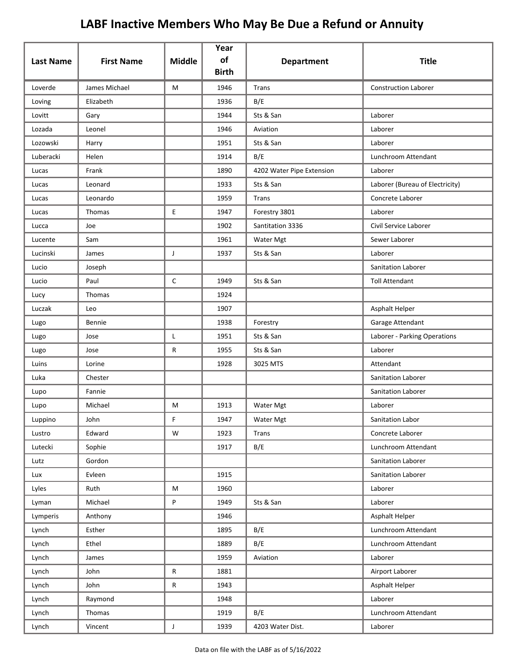| <b>Last Name</b> | <b>First Name</b> | <b>Middle</b> | Year<br>of<br><b>Birth</b> | <b>Department</b>         | <b>Title</b>                    |
|------------------|-------------------|---------------|----------------------------|---------------------------|---------------------------------|
| Loverde          | James Michael     | M             | 1946                       | <b>Trans</b>              | <b>Construction Laborer</b>     |
| Loving           | Elizabeth         |               | 1936                       | B/E                       |                                 |
| Lovitt           | Gary              |               | 1944                       | Sts & San                 | Laborer                         |
| Lozada           | Leonel            |               | 1946                       | Aviation                  | Laborer                         |
| Lozowski         | Harry             |               | 1951                       | Sts & San                 | Laborer                         |
| Luberacki        | Helen             |               | 1914                       | B/E                       | Lunchroom Attendant             |
| Lucas            | Frank             |               | 1890                       | 4202 Water Pipe Extension | Laborer                         |
| Lucas            | Leonard           |               | 1933                       | Sts & San                 | Laborer (Bureau of Electricity) |
| Lucas            | Leonardo          |               | 1959                       | Trans                     | Concrete Laborer                |
| Lucas            | Thomas            | E.            | 1947                       | Forestry 3801             | Laborer                         |
| Lucca            | Joe               |               | 1902                       | Santitation 3336          | Civil Service Laborer           |
| Lucente          | Sam               |               | 1961                       | Water Mgt                 | Sewer Laborer                   |
| Lucinski         | James             | J             | 1937                       | Sts & San                 | Laborer                         |
| Lucio            | Joseph            |               |                            |                           | Sanitation Laborer              |
| Lucio            | Paul              | C             | 1949                       | Sts & San                 | <b>Toll Attendant</b>           |
| Lucy             | Thomas            |               | 1924                       |                           |                                 |
| Luczak           | Leo               |               | 1907                       |                           | Asphalt Helper                  |
| Lugo             | Bennie            |               | 1938                       | Forestry                  | Garage Attendant                |
| Lugo             | Jose              | Г             | 1951                       | Sts & San                 | Laborer - Parking Operations    |
| Lugo             | Jose              | R             | 1955                       | Sts & San                 | Laborer                         |
| Luins            | Lorine            |               | 1928                       | 3025 MTS                  | Attendant                       |
| Luka             | Chester           |               |                            |                           | Sanitation Laborer              |
| Lupo             | Fannie            |               |                            |                           | <b>Sanitation Laborer</b>       |
| Lupo             | Michael           | М             | 1913                       | Water Mgt                 | Laborer                         |
| Luppino          | John              | F             | 1947                       | Water Mgt                 | Sanitation Labor                |
| Lustro           | Edward            | W             | 1923                       | Trans                     | Concrete Laborer                |
| Lutecki          | Sophie            |               | 1917                       | B/E                       | Lunchroom Attendant             |
| Lutz             | Gordon            |               |                            |                           | Sanitation Laborer              |
| Lux              | Evleen            |               | 1915                       |                           | Sanitation Laborer              |
| Lyles            | Ruth              | M             | 1960                       |                           | Laborer                         |
| Lyman            | Michael           | P             | 1949                       | Sts & San                 | Laborer                         |
| Lymperis         | Anthony           |               | 1946                       |                           | Asphalt Helper                  |
| Lynch            | Esther            |               | 1895                       | B/E                       | Lunchroom Attendant             |
| Lynch            | Ethel             |               | 1889                       | B/E                       | Lunchroom Attendant             |
| Lynch            | James             |               | 1959                       | Aviation                  | Laborer                         |
| Lynch            | John              | R             | 1881                       |                           | Airport Laborer                 |
| Lynch            | John              | R             | 1943                       |                           | Asphalt Helper                  |
| Lynch            | Raymond           |               | 1948                       |                           | Laborer                         |
| Lynch            | Thomas            |               | 1919                       | B/E                       | Lunchroom Attendant             |
| Lynch            | Vincent           | $\mathsf{J}$  | 1939                       | 4203 Water Dist.          | Laborer                         |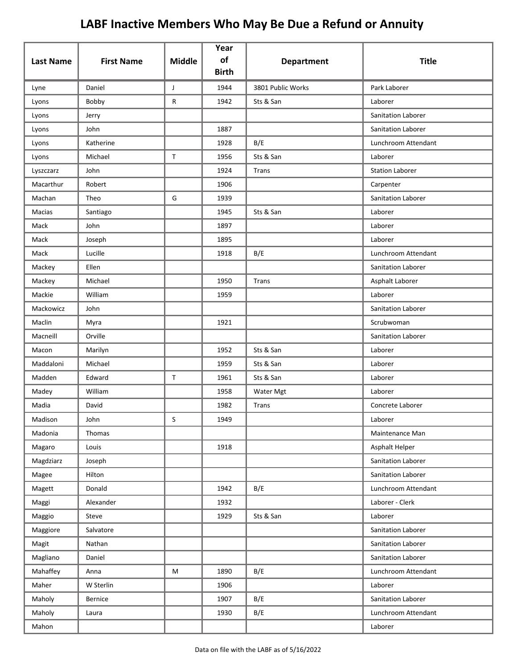| <b>Last Name</b> | <b>First Name</b> | <b>Middle</b> | Year<br>of<br><b>Birth</b> | <b>Department</b> | <b>Title</b>           |
|------------------|-------------------|---------------|----------------------------|-------------------|------------------------|
| Lyne             | Daniel            | J             | 1944                       | 3801 Public Works | Park Laborer           |
| Lyons            | Bobby             | R             | 1942                       | Sts & San         | Laborer                |
| Lyons            | Jerry             |               |                            |                   | Sanitation Laborer     |
| Lyons            | John              |               | 1887                       |                   | Sanitation Laborer     |
| Lyons            | Katherine         |               | 1928                       | B/E               | Lunchroom Attendant    |
| Lyons            | Michael           | $\mathsf T$   | 1956                       | Sts & San         | Laborer                |
| Lyszczarz        | John              |               | 1924                       | Trans             | <b>Station Laborer</b> |
| Macarthur        | Robert            |               | 1906                       |                   | Carpenter              |
| Machan           | Theo              | G             | 1939                       |                   | Sanitation Laborer     |
| Macias           | Santiago          |               | 1945                       | Sts & San         | Laborer                |
| Mack             | John              |               | 1897                       |                   | Laborer                |
| Mack             | Joseph            |               | 1895                       |                   | Laborer                |
| Mack             | Lucille           |               | 1918                       | B/E               | Lunchroom Attendant    |
| Mackey           | Ellen             |               |                            |                   | Sanitation Laborer     |
| Mackey           | Michael           |               | 1950                       | Trans             | Asphalt Laborer        |
| Mackie           | William           |               | 1959                       |                   | Laborer                |
| Mackowicz        | John              |               |                            |                   | Sanitation Laborer     |
| Maclin           | Myra              |               | 1921                       |                   | Scrubwoman             |
| Macneill         | Orville           |               |                            |                   | Sanitation Laborer     |
| Macon            | Marilyn           |               | 1952                       | Sts & San         | Laborer                |
| Maddaloni        | Michael           |               | 1959                       | Sts & San         | Laborer                |
| Madden           | Edward            | $\mathsf{T}$  | 1961                       | Sts & San         | Laborer                |
| Madey            | William           |               | 1958                       | Water Mgt         | Laborer                |
| Madia            | David             |               | 1982                       | Trans             | Concrete Laborer       |
| Madison          | John              | S             | 1949                       |                   | Laborer                |
| Madonia          | Thomas            |               |                            |                   | Maintenance Man        |
| Magaro           | Louis             |               | 1918                       |                   | Asphalt Helper         |
| Magdziarz        | Joseph            |               |                            |                   | Sanitation Laborer     |
| Magee            | Hilton            |               |                            |                   | Sanitation Laborer     |
| Magett           | Donald            |               | 1942                       | B/E               | Lunchroom Attendant    |
| Maggi            | Alexander         |               | 1932                       |                   | Laborer - Clerk        |
| Maggio           | Steve             |               | 1929                       | Sts & San         | Laborer                |
| Maggiore         | Salvatore         |               |                            |                   | Sanitation Laborer     |
| Magit            | Nathan            |               |                            |                   | Sanitation Laborer     |
| Magliano         | Daniel            |               |                            |                   | Sanitation Laborer     |
| Mahaffey         | Anna              | M             | 1890                       | B/E               | Lunchroom Attendant    |
| Maher            | W Sterlin         |               | 1906                       |                   | Laborer                |
| Maholy           | <b>Bernice</b>    |               | 1907                       | B/E               | Sanitation Laborer     |
| Maholy           | Laura             |               | 1930                       | B/E               | Lunchroom Attendant    |
| Mahon            |                   |               |                            |                   | Laborer                |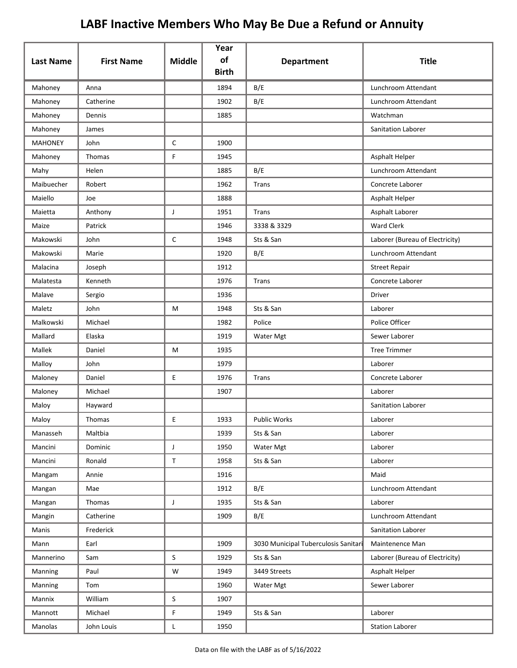| <b>Last Name</b> | <b>First Name</b> | <b>Middle</b> | Year<br>of   | <b>Department</b>                    | <b>Title</b>                    |
|------------------|-------------------|---------------|--------------|--------------------------------------|---------------------------------|
|                  |                   |               | <b>Birth</b> |                                      |                                 |
| Mahoney          | Anna              |               | 1894         | B/E                                  | Lunchroom Attendant             |
| Mahoney          | Catherine         |               | 1902         | B/E                                  | Lunchroom Attendant             |
| Mahoney          | Dennis            |               | 1885         |                                      | Watchman                        |
| Mahoney          | James             |               |              |                                      | <b>Sanitation Laborer</b>       |
| <b>MAHONEY</b>   | John              | $\mathsf{C}$  | 1900         |                                      |                                 |
| Mahoney          | Thomas            | F.            | 1945         |                                      | Asphalt Helper                  |
| Mahy             | Helen             |               | 1885         | B/E                                  | Lunchroom Attendant             |
| Maibuecher       | Robert            |               | 1962         | Trans                                | Concrete Laborer                |
| Maiello          | Joe               |               | 1888         |                                      | Asphalt Helper                  |
| Maietta          | Anthony           | J             | 1951         | Trans                                | Asphalt Laborer                 |
| Maize            | Patrick           |               | 1946         | 3338 & 3329                          | <b>Ward Clerk</b>               |
| Makowski         | John              | $\mathsf C$   | 1948         | Sts & San                            | Laborer (Bureau of Electricity) |
| Makowski         | Marie             |               | 1920         | B/E                                  | Lunchroom Attendant             |
| Malacina         | Joseph            |               | 1912         |                                      | <b>Street Repair</b>            |
| Malatesta        | Kenneth           |               | 1976         | Trans                                | Concrete Laborer                |
| Malave           | Sergio            |               | 1936         |                                      | <b>Driver</b>                   |
| Maletz           | John              | M             | 1948         | Sts & San                            | Laborer                         |
| Malkowski        | Michael           |               | 1982         | Police                               | Police Officer                  |
| Mallard          | Elaska            |               | 1919         | Water Mgt                            | Sewer Laborer                   |
| Mallek           | Daniel            | М             | 1935         |                                      | <b>Tree Trimmer</b>             |
| Malloy           | John              |               | 1979         |                                      | Laborer                         |
| Maloney          | Daniel            | E             | 1976         | Trans                                | Concrete Laborer                |
| Maloney          | Michael           |               | 1907         |                                      | Laborer                         |
| Maloy            | Hayward           |               |              |                                      | Sanitation Laborer              |
| Maloy            | Thomas            | E             | 1933         | <b>Public Works</b>                  | Laborer                         |
| Manasseh         | Maltbia           |               | 1939         | Sts & San                            | Laborer                         |
| Mancini          | Dominic           | $\mathsf J$   | 1950         | Water Mgt                            | Laborer                         |
| Mancini          | Ronald            | $\mathsf T$   | 1958         | Sts & San                            | Laborer                         |
| Mangam           | Annie             |               | 1916         |                                      | Maid                            |
| Mangan           | Mae               |               | 1912         | B/E                                  | Lunchroom Attendant             |
| Mangan           | Thomas            | J             | 1935         | Sts & San                            | Laborer                         |
| Mangin           | Catherine         |               | 1909         | B/E                                  | Lunchroom Attendant             |
| Manis            | Frederick         |               |              |                                      | Sanitation Laborer              |
| Mann             | Earl              |               | 1909         | 3030 Municipal Tuberculosis Sanitari | Maintenence Man                 |
| Mannerino        | Sam               | $\mathsf{S}$  | 1929         | Sts & San                            | Laborer (Bureau of Electricity) |
| Manning          | Paul              | W             | 1949         | 3449 Streets                         | Asphalt Helper                  |
| Manning          | Tom               |               | 1960         | Water Mgt                            | Sewer Laborer                   |
| Mannix           | William           | S             | 1907         |                                      |                                 |
| Mannott          | Michael           | F             | 1949         | Sts & San                            | Laborer                         |
| Manolas          | John Louis        | L             | 1950         |                                      | <b>Station Laborer</b>          |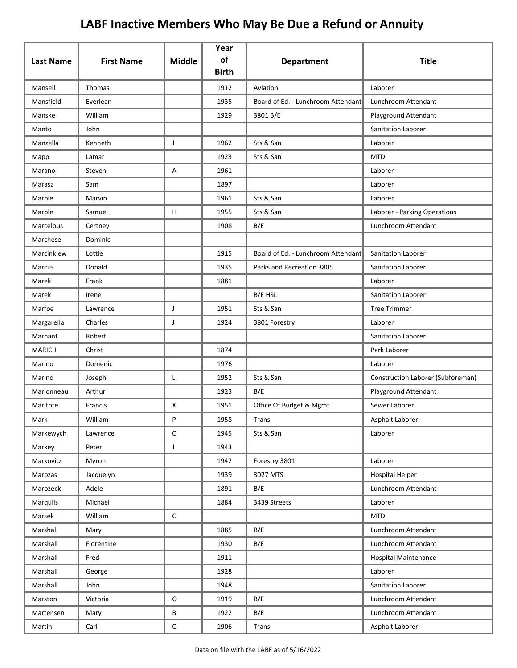| <b>Last Name</b> | <b>First Name</b> | <b>Middle</b> | Year<br>of<br><b>Birth</b> | <b>Department</b>                  | <b>Title</b>                      |
|------------------|-------------------|---------------|----------------------------|------------------------------------|-----------------------------------|
| Mansell          | Thomas            |               | 1912                       | Aviation                           | Laborer                           |
| Mansfield        | Everlean          |               | 1935                       | Board of Ed. - Lunchroom Attendant | Lunchroom Attendant               |
| Manske           | William           |               | 1929                       | 3801 B/E                           | Playground Attendant              |
| Manto            | John              |               |                            |                                    | Sanitation Laborer                |
| Manzella         | Kenneth           | J             | 1962                       | Sts & San                          | Laborer                           |
| Mapp             | Lamar             |               | 1923                       | Sts & San                          | <b>MTD</b>                        |
| Marano           | Steven            | Α             | 1961                       |                                    | Laborer                           |
| Marasa           | Sam               |               | 1897                       |                                    | Laborer                           |
| Marble           | Marvin            |               | 1961                       | Sts & San                          | Laborer                           |
| Marble           | Samuel            | H             | 1955                       | Sts & San                          | Laborer - Parking Operations      |
| Marcelous        | Certney           |               | 1908                       | B/E                                | Lunchroom Attendant               |
| Marchese         | Dominic           |               |                            |                                    |                                   |
| Marcinkiew       | Lottie            |               | 1915                       | Board of Ed. - Lunchroom Attendant | <b>Sanitation Laborer</b>         |
| Marcus           | Donald            |               | 1935                       | Parks and Recreation 3805          | Sanitation Laborer                |
| Marek            | Frank             |               | 1881                       |                                    | Laborer                           |
| Marek            | Irene             |               |                            | B/E HSL                            | Sanitation Laborer                |
| Marfoe           | Lawrence          | J             | 1951                       | Sts & San                          | <b>Tree Trimmer</b>               |
| Margarella       | Charles           | J             | 1924                       | 3801 Forestry                      | Laborer                           |
| Marhant          | Robert            |               |                            |                                    | Sanitation Laborer                |
| <b>MARICH</b>    | Christ            |               | 1874                       |                                    | Park Laborer                      |
| Marino           | Domenic           |               | 1976                       |                                    | Laborer                           |
| Marino           | Joseph            | Г             | 1952                       | Sts & San                          | Construction Laborer (Subforeman) |
| Marionneau       | Arthur            |               | 1923                       | B/E                                | Playground Attendant              |
| Maritote         | Francis           | X             | 1951                       | Office Of Budget & Mgmt            | Sewer Laborer                     |
| Mark             | William           | P             | 1958                       | Trans                              | Asphalt Laborer                   |
| Markewych        | Lawrence          | $\mathsf C$   | 1945                       | Sts & San                          | Laborer                           |
| Markey           | Peter             | J             | 1943                       |                                    |                                   |
| Markovitz        | Myron             |               | 1942                       | Forestry 3801                      | Laborer                           |
| Marozas          | Jacquelyn         |               | 1939                       | 3027 MTS                           | Hospital Helper                   |
| Marozeck         | Adele             |               | 1891                       | B/E                                | Lunchroom Attendant               |
| Marqulis         | Michael           |               | 1884                       | 3439 Streets                       | Laborer                           |
| Marsek           | William           | $\mathsf C$   |                            |                                    | <b>MTD</b>                        |
| Marshal          | Mary              |               | 1885                       | B/E                                | Lunchroom Attendant               |
| Marshall         | Florentine        |               | 1930                       | B/E                                | Lunchroom Attendant               |
| Marshall         | Fred              |               | 1911                       |                                    | Hospital Maintenance              |
| Marshall         | George            |               | 1928                       |                                    | Laborer                           |
| Marshall         | John              |               | 1948                       |                                    | Sanitation Laborer                |
| Marston          | Victoria          | O             | 1919                       | B/E                                | Lunchroom Attendant               |
| Martensen        | Mary              | В             | 1922                       | B/E                                | Lunchroom Attendant               |
| Martin           | Carl              | $\mathsf C$   | 1906                       | Trans                              | Asphalt Laborer                   |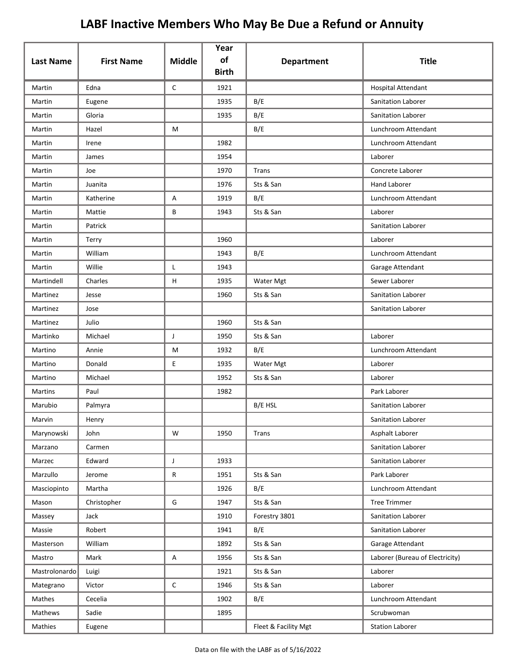| <b>Last Name</b> | <b>First Name</b> | <b>Middle</b> | Year<br>of<br><b>Birth</b> | <b>Department</b>    | <b>Title</b>                    |
|------------------|-------------------|---------------|----------------------------|----------------------|---------------------------------|
| Martin           | Edna              | $\mathsf C$   | 1921                       |                      | Hospital Attendant              |
| Martin           | Eugene            |               | 1935                       | B/E                  | Sanitation Laborer              |
| Martin           | Gloria            |               | 1935                       | B/E                  | Sanitation Laborer              |
| Martin           | Hazel             | M             |                            | B/E                  | Lunchroom Attendant             |
| Martin           | Irene             |               | 1982                       |                      | Lunchroom Attendant             |
| Martin           | James             |               | 1954                       |                      | Laborer                         |
| Martin           | Joe               |               | 1970                       | Trans                | Concrete Laborer                |
| Martin           | Juanita           |               | 1976                       | Sts & San            | <b>Hand Laborer</b>             |
| Martin           | Katherine         | Α             | 1919                       | B/E                  | Lunchroom Attendant             |
| Martin           | Mattie            | В             | 1943                       | Sts & San            | Laborer                         |
| Martin           | Patrick           |               |                            |                      | Sanitation Laborer              |
| Martin           | Terry             |               | 1960                       |                      | Laborer                         |
| Martin           | William           |               | 1943                       | B/E                  | Lunchroom Attendant             |
| Martin           | Willie            | L             | 1943                       |                      | Garage Attendant                |
| Martindell       | Charles           | H             | 1935                       | Water Mgt            | Sewer Laborer                   |
| Martinez         | Jesse             |               | 1960                       | Sts & San            | Sanitation Laborer              |
| Martinez         | Jose              |               |                            |                      | Sanitation Laborer              |
| Martinez         | Julio             |               | 1960                       | Sts & San            |                                 |
| Martinko         | Michael           | J             | 1950                       | Sts & San            | Laborer                         |
| Martino          | Annie             | М             | 1932                       | B/E                  | Lunchroom Attendant             |
| Martino          | Donald            | E             | 1935                       | Water Mgt            | Laborer                         |
| Martino          | Michael           |               | 1952                       | Sts & San            | Laborer                         |
| <b>Martins</b>   | Paul              |               | 1982                       |                      | Park Laborer                    |
| Marubio          | Palmyra           |               |                            | B/E HSL              | Sanitation Laborer              |
| Marvin           | Henry             |               |                            |                      | Sanitation Laborer              |
| Marynowski       | John              | W             | 1950                       | Trans                | Asphalt Laborer                 |
| Marzano          | Carmen            |               |                            |                      | Sanitation Laborer              |
| Marzec           | Edward            | J             | 1933                       |                      | Sanitation Laborer              |
| Marzullo         | Jerome            | R             | 1951                       | Sts & San            | Park Laborer                    |
| Masciopinto      | Martha            |               | 1926                       | B/E                  | Lunchroom Attendant             |
| Mason            | Christopher       | G             | 1947                       | Sts & San            | <b>Tree Trimmer</b>             |
| Massey           | Jack              |               | 1910                       | Forestry 3801        | Sanitation Laborer              |
| Massie           | Robert            |               | 1941                       | B/E                  | Sanitation Laborer              |
| Masterson        | William           |               | 1892                       | Sts & San            | Garage Attendant                |
| Mastro           | Mark              | Α             | 1956                       | Sts & San            | Laborer (Bureau of Electricity) |
| Mastrolonardo    | Luigi             |               | 1921                       | Sts & San            | Laborer                         |
| Mategrano        | Victor            | $\mathsf C$   | 1946                       | Sts & San            | Laborer                         |
| Mathes           | Cecelia           |               | 1902                       | B/E                  | Lunchroom Attendant             |
| Mathews          | Sadie             |               | 1895                       |                      | Scrubwoman                      |
| Mathies          | Eugene            |               |                            | Fleet & Facility Mgt | <b>Station Laborer</b>          |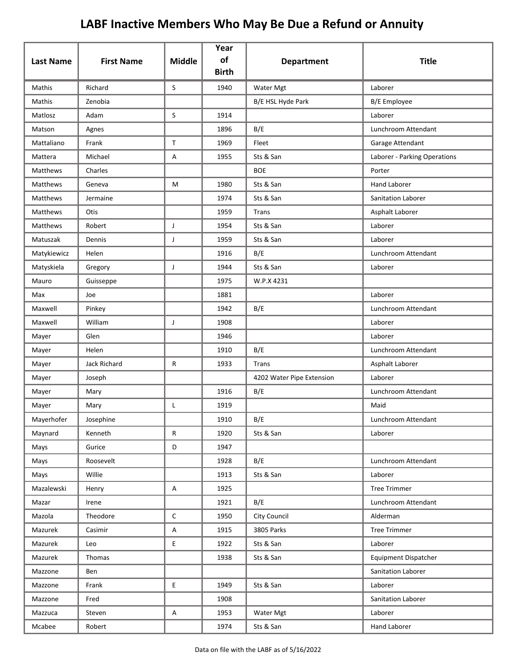| <b>Last Name</b> | <b>First Name</b>   | <b>Middle</b> | Year<br>of   |                           | <b>Title</b>                 |
|------------------|---------------------|---------------|--------------|---------------------------|------------------------------|
|                  |                     |               | <b>Birth</b> | <b>Department</b>         |                              |
| Mathis           | Richard             | S             | 1940         | Water Mgt                 | Laborer                      |
| Mathis           | Zenobia             |               |              | B/E HSL Hyde Park         | <b>B/E</b> Employee          |
| Matlosz          | Adam                | S             | 1914         |                           | Laborer                      |
| Matson           | Agnes               |               | 1896         | B/E                       | Lunchroom Attendant          |
| Mattaliano       | Frank               | $\mathsf{T}$  | 1969         | Fleet                     | Garage Attendant             |
| Mattera          | Michael             | Α             | 1955         | Sts & San                 | Laborer - Parking Operations |
| Matthews         | Charles             |               |              | <b>BOE</b>                | Porter                       |
| Matthews         | Geneva              | M             | 1980         | Sts & San                 | <b>Hand Laborer</b>          |
| Matthews         | Jermaine            |               | 1974         | Sts & San                 | Sanitation Laborer           |
| Matthews         | Otis                |               | 1959         | Trans                     | Asphalt Laborer              |
| <b>Matthews</b>  | Robert              | J             | 1954         | Sts & San                 | Laborer                      |
| Matuszak         | Dennis              | J             | 1959         | Sts & San                 | Laborer                      |
| Matykiewicz      | Helen               |               | 1916         | B/E                       | Lunchroom Attendant          |
| Matyskiela       | Gregory             | J             | 1944         | Sts & San                 | Laborer                      |
| Mauro            | Guisseppe           |               | 1975         | W.P.X 4231                |                              |
| Max              | Joe                 |               | 1881         |                           | Laborer                      |
| Maxwell          | Pinkey              |               | 1942         | B/E                       | Lunchroom Attendant          |
| Maxwell          | William             | $\mathsf J$   | 1908         |                           | Laborer                      |
| Mayer            | Glen                |               | 1946         |                           | Laborer                      |
| Mayer            | Helen               |               | 1910         | B/E                       | Lunchroom Attendant          |
| Mayer            | <b>Jack Richard</b> | R             | 1933         | Trans                     | Asphalt Laborer              |
| Mayer            | Joseph              |               |              | 4202 Water Pipe Extension | Laborer                      |
| Mayer            | Mary                |               | 1916         | B/E                       | Lunchroom Attendant          |
| Mayer            | Mary                | L             | 1919         |                           | Maid                         |
| Mayerhofer       | Josephine           |               | 1910         | B/E                       | Lunchroom Attendant          |
| Maynard          | Kenneth             | R             | 1920         | Sts & San                 | Laborer                      |
| Mays             | Gurice              | D             | 1947         |                           |                              |
| Mays             | Roosevelt           |               | 1928         | B/E                       | Lunchroom Attendant          |
| Mays             | Willie              |               | 1913         | Sts & San                 | Laborer                      |
| Mazalewski       | Henry               | A             | 1925         |                           | <b>Tree Trimmer</b>          |
| Mazar            | Irene               |               | 1921         | B/E                       | Lunchroom Attendant          |
| Mazola           | Theodore            | С             | 1950         | City Council              | Alderman                     |
| Mazurek          | Casimir             | $\mathsf A$   | 1915         | 3805 Parks                | <b>Tree Trimmer</b>          |
| Mazurek          | Leo                 | E             | 1922         | Sts & San                 | Laborer                      |
| Mazurek          | Thomas              |               | 1938         | Sts & San                 | <b>Equipment Dispatcher</b>  |
| Mazzone          | Ben                 |               |              |                           | Sanitation Laborer           |
| Mazzone          | Frank               | E             | 1949         | Sts & San                 | Laborer                      |
| Mazzone          | Fred                |               | 1908         |                           | Sanitation Laborer           |
| Mazzuca          | Steven              | A             | 1953         | Water Mgt                 | Laborer                      |
| Mcabee           | Robert              |               | 1974         | Sts & San                 | Hand Laborer                 |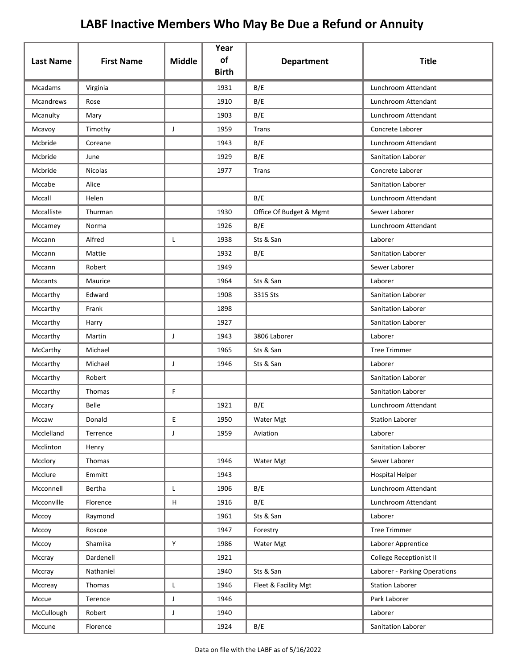|                  |                   |                           | Year<br>of   |                         |                              |
|------------------|-------------------|---------------------------|--------------|-------------------------|------------------------------|
| <b>Last Name</b> | <b>First Name</b> | <b>Middle</b>             | <b>Birth</b> | <b>Department</b>       | <b>Title</b>                 |
| Mcadams          | Virginia          |                           | 1931         | B/E                     | Lunchroom Attendant          |
| Mcandrews        | Rose              |                           | 1910         | B/E                     | Lunchroom Attendant          |
| Mcanulty         | Mary              |                           | 1903         | B/E                     | Lunchroom Attendant          |
| Mcavoy           | Timothy           | J                         | 1959         | Trans                   | Concrete Laborer             |
| Mcbride          | Coreane           |                           | 1943         | B/E                     | Lunchroom Attendant          |
| Mcbride          | June              |                           | 1929         | B/E                     | Sanitation Laborer           |
| Mcbride          | <b>Nicolas</b>    |                           | 1977         | Trans                   | Concrete Laborer             |
| Mccabe           | Alice             |                           |              |                         | Sanitation Laborer           |
| Mccall           | Helen             |                           |              | B/E                     | Lunchroom Attendant          |
| Mccalliste       | Thurman           |                           | 1930         | Office Of Budget & Mgmt | Sewer Laborer                |
| Mccamey          | Norma             |                           | 1926         | B/E                     | Lunchroom Attendant          |
| Mccann           | Alfred            | Г                         | 1938         | Sts & San               | Laborer                      |
| Mccann           | Mattie            |                           | 1932         | B/E                     | Sanitation Laborer           |
| Mccann           | Robert            |                           | 1949         |                         | Sewer Laborer                |
| <b>Mccants</b>   | Maurice           |                           | 1964         | Sts & San               | Laborer                      |
| Mccarthy         | Edward            |                           | 1908         | 3315 Sts                | Sanitation Laborer           |
| Mccarthy         | Frank             |                           | 1898         |                         | Sanitation Laborer           |
| Mccarthy         | Harry             |                           | 1927         |                         | Sanitation Laborer           |
| Mccarthy         | Martin            | J                         | 1943         | 3806 Laborer            | Laborer                      |
| McCarthy         | Michael           |                           | 1965         | Sts & San               | <b>Tree Trimmer</b>          |
| Mccarthy         | Michael           | J                         | 1946         | Sts & San               | Laborer                      |
| Mccarthy         | Robert            |                           |              |                         | Sanitation Laborer           |
| Mccarthy         | Thomas            | F                         |              |                         | Sanitation Laborer           |
| Mccary           | Belle             |                           | 1921         | B/E                     | Lunchroom Attendant          |
| Mccaw            | Donald            | Ε                         | 1950         | Water Mgt               | <b>Station Laborer</b>       |
| Mcclelland       | Terrence          | J                         | 1959         | Aviation                | Laborer                      |
| Mcclinton        | Henry             |                           |              |                         | Sanitation Laborer           |
| Mcclory          | Thomas            |                           | 1946         | Water Mgt               | Sewer Laborer                |
| Mcclure          | Emmitt            |                           | 1943         |                         | <b>Hospital Helper</b>       |
| Mcconnell        | Bertha            | L                         | 1906         | B/E                     | Lunchroom Attendant          |
| Mcconville       | Florence          | $\boldsymbol{\mathsf{H}}$ | 1916         | B/E                     | Lunchroom Attendant          |
| Mccoy            | Raymond           |                           | 1961         | Sts & San               | Laborer                      |
| Mccoy            | Roscoe            |                           | 1947         | Forestry                | <b>Tree Trimmer</b>          |
| Mccoy            | Shamika           | Y                         | 1986         | Water Mgt               | Laborer Apprentice           |
| Mccray           | Dardenell         |                           | 1921         |                         | College Receptionist II      |
| Mccray           | Nathaniel         |                           | 1940         | Sts & San               | Laborer - Parking Operations |
| Mccreay          | Thomas            | L                         | 1946         | Fleet & Facility Mgt    | <b>Station Laborer</b>       |
| Mccue            | Terence           | J                         | 1946         |                         | Park Laborer                 |
| McCullough       | Robert            | J                         | 1940         |                         | Laborer                      |
| Mccune           | Florence          |                           | 1924         | B/E                     | Sanitation Laborer           |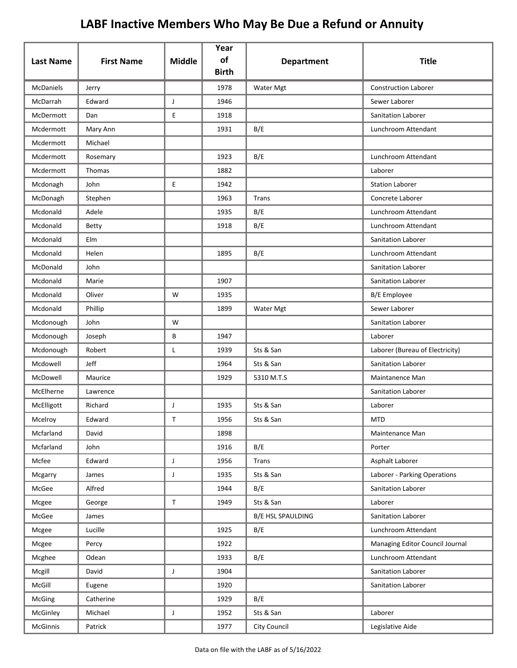| <b>Last Name</b> | <b>First Name</b> | <b>Middle</b> | Year<br>of<br><b>Birth</b> | <b>Department</b>        | <b>Title</b>                    |
|------------------|-------------------|---------------|----------------------------|--------------------------|---------------------------------|
| <b>McDaniels</b> | Jerry             |               | 1978                       | Water Mgt                | <b>Construction Laborer</b>     |
| McDarrah         | Edward            | J             | 1946                       |                          | Sewer Laborer                   |
| McDermott        | Dan               | E             | 1918                       |                          | Sanitation Laborer              |
| Mcdermott        | Mary Ann          |               | 1931                       | B/E                      | Lunchroom Attendant             |
| Mcdermott        | Michael           |               |                            |                          |                                 |
| Mcdermott        | Rosemary          |               | 1923                       | B/E                      | Lunchroom Attendant             |
| Mcdermott        | Thomas            |               | 1882                       |                          | Laborer                         |
| Mcdonagh         | John              | E             | 1942                       |                          | <b>Station Laborer</b>          |
| McDonagh         | Stephen           |               | 1963                       | Trans                    | Concrete Laborer                |
| Mcdonald         | Adele             |               | 1935                       | B/E                      | Lunchroom Attendant             |
| Mcdonald         | <b>Betty</b>      |               | 1918                       | B/E                      | Lunchroom Attendant             |
| Mcdonald         | Elm               |               |                            |                          | <b>Sanitation Laborer</b>       |
| Mcdonald         | Helen             |               | 1895                       | B/E                      | Lunchroom Attendant             |
| McDonald         | John              |               |                            |                          | Sanitation Laborer              |
| Mcdonald         | Marie             |               | 1907                       |                          | Sanitation Laborer              |
| Mcdonald         | Oliver            | W             | 1935                       |                          | B/E Employee                    |
| Mcdonald         | Phillip           |               | 1899                       | Water Mgt                | Sewer Laborer                   |
| Mcdonough        | John              | W             |                            |                          | Sanitation Laborer              |
| Mcdonough        | Joseph            | В             | 1947                       |                          | Laborer                         |
| Mcdonough        | Robert            | Г             | 1939                       | Sts & San                | Laborer (Bureau of Electricity) |
| Mcdowell         | Jeff              |               | 1964                       | Sts & San                | Sanitation Laborer              |
| McDowell         | Maurice           |               | 1929                       | 5310 M.T.S               | Maintanence Man                 |
| McElherne        | Lawrence          |               |                            |                          | Sanitation Laborer              |
| McElligott       | Richard           | J             | 1935                       | Sts & San                | Laborer                         |
| Mcelroy          | Edward            | T.            | 1956                       | Sts & San                | <b>MTD</b>                      |
| Mcfarland        | David             |               | 1898                       |                          | Maintenance Man                 |
| Mcfarland        | John              |               | 1916                       | B/E                      | Porter                          |
| Mcfee            | Edward            | $\mathsf{J}$  | 1956                       | Trans                    | Asphalt Laborer                 |
| Mcgarry          | James             | J             | 1935                       | Sts & San                | Laborer - Parking Operations    |
| McGee            | Alfred            |               | 1944                       | B/E                      | Sanitation Laborer              |
| Mcgee            | George            | $\mathsf T$   | 1949                       | Sts & San                | Laborer                         |
| McGee            | James             |               |                            | <b>B/E HSL SPAULDING</b> | Sanitation Laborer              |
| Mcgee            | Lucille           |               | 1925                       | B/E                      | Lunchroom Attendant             |
| Mcgee            | Percy             |               | 1922                       |                          | Managing Editor Council Journal |
| Mcghee           | Odean             |               | 1933                       | B/E                      | Lunchroom Attendant             |
| Mcgill           | David             | J             | 1904                       |                          | Sanitation Laborer              |
| McGill           | Eugene            |               | 1920                       |                          | Sanitation Laborer              |
| McGing           | Catherine         |               | 1929                       | B/E                      |                                 |
| McGinley         | Michael           | $\mathsf{J}$  | 1952                       | Sts & San                | Laborer                         |
| McGinnis         | Patrick           |               | 1977                       | City Council             | Legislative Aide                |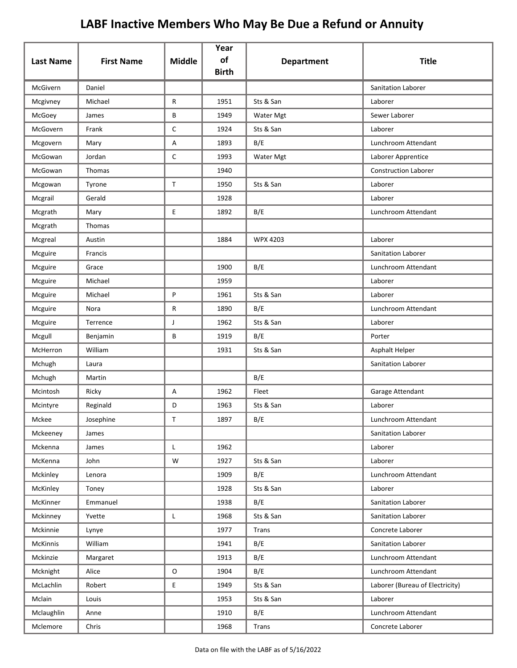|                  |                   |               | Year<br>of   |                   |                                 |
|------------------|-------------------|---------------|--------------|-------------------|---------------------------------|
| <b>Last Name</b> | <b>First Name</b> | <b>Middle</b> | <b>Birth</b> | <b>Department</b> | <b>Title</b>                    |
| McGivern         | Daniel            |               |              |                   | Sanitation Laborer              |
| Mcgivney         | Michael           | R             | 1951         | Sts & San         | Laborer                         |
| McGoey           | James             | В             | 1949         | Water Mgt         | Sewer Laborer                   |
| McGovern         | Frank             | $\mathsf{C}$  | 1924         | Sts & San         | Laborer                         |
| Mcgovern         | Mary              | Α             | 1893         | B/E               | Lunchroom Attendant             |
| McGowan          | Jordan            | C             | 1993         | Water Mgt         | Laborer Apprentice              |
| McGowan          | Thomas            |               | 1940         |                   | <b>Construction Laborer</b>     |
| Mcgowan          | Tyrone            | $\mathsf T$   | 1950         | Sts & San         | Laborer                         |
| Mcgrail          | Gerald            |               | 1928         |                   | Laborer                         |
| Mcgrath          | Mary              | E             | 1892         | B/E               | Lunchroom Attendant             |
| Mcgrath          | Thomas            |               |              |                   |                                 |
| Mcgreal          | Austin            |               | 1884         | WPX 4203          | Laborer                         |
| Mcguire          | Francis           |               |              |                   | Sanitation Laborer              |
| Mcguire          | Grace             |               | 1900         | B/E               | Lunchroom Attendant             |
| Mcguire          | Michael           |               | 1959         |                   | Laborer                         |
| Mcguire          | Michael           | P             | 1961         | Sts & San         | Laborer                         |
| Mcguire          | Nora              | R             | 1890         | B/E               | Lunchroom Attendant             |
| Mcguire          | Terrence          | J             | 1962         | Sts & San         | Laborer                         |
| Mcgull           | Benjamin          | В             | 1919         | B/E               | Porter                          |
| McHerron         | William           |               | 1931         | Sts & San         | Asphalt Helper                  |
| Mchugh           | Laura             |               |              |                   | Sanitation Laborer              |
| Mchugh           | Martin            |               |              | B/E               |                                 |
| Mcintosh         | Ricky             | Α             | 1962         | Fleet             | Garage Attendant                |
| Mcintyre         | Reginald          | D             | 1963         | Sts & San         | Laborer                         |
| Mckee            | Josephine         | Τ             | 1897         | B/E               | Lunchroom Attendant             |
| Mckeeney         | James             |               |              |                   | Sanitation Laborer              |
| Mckenna          | James             | L             | 1962         |                   | Laborer                         |
| McKenna          | John              | W             | 1927         | Sts & San         | Laborer                         |
| Mckinley         | Lenora            |               | 1909         | B/E               | Lunchroom Attendant             |
| McKinley         | Toney             |               | 1928         | Sts & San         | Laborer                         |
| McKinner         | Emmanuel          |               | 1938         | B/E               | Sanitation Laborer              |
| Mckinney         | Yvette            | L             | 1968         | Sts & San         | Sanitation Laborer              |
| Mckinnie         | Lynye             |               | 1977         | Trans             | Concrete Laborer                |
| McKinnis         | William           |               | 1941         | B/E               | Sanitation Laborer              |
| Mckinzie         | Margaret          |               | 1913         | B/E               | Lunchroom Attendant             |
| Mcknight         | Alice             | O             | 1904         | B/E               | Lunchroom Attendant             |
| McLachlin        | Robert            | E             | 1949         | Sts & San         | Laborer (Bureau of Electricity) |
| Mclain           | Louis             |               | 1953         | Sts & San         | Laborer                         |
| Mclaughlin       | Anne              |               | 1910         | B/E               | Lunchroom Attendant             |
| Mclemore         | Chris             |               | 1968         | Trans             | Concrete Laborer                |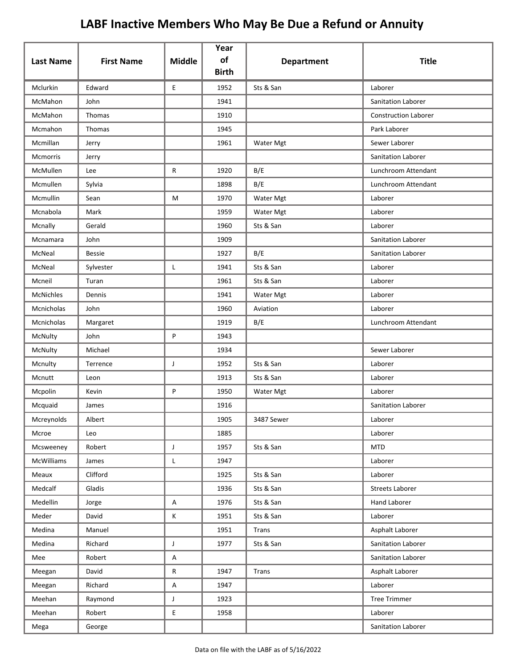| <b>Last Name</b> | <b>First Name</b> | <b>Middle</b> | Year<br>of   | <b>Department</b> | <b>Title</b>                |
|------------------|-------------------|---------------|--------------|-------------------|-----------------------------|
|                  |                   |               | <b>Birth</b> |                   |                             |
| Mclurkin         | Edward            | E             | 1952         | Sts & San         | Laborer                     |
| McMahon          | John              |               | 1941         |                   | Sanitation Laborer          |
| McMahon          | Thomas            |               | 1910         |                   | <b>Construction Laborer</b> |
| Mcmahon          | Thomas            |               | 1945         |                   | Park Laborer                |
| Mcmillan         | Jerry             |               | 1961         | Water Mgt         | Sewer Laborer               |
| Mcmorris         | Jerry             |               |              |                   | Sanitation Laborer          |
| McMullen         | Lee               | R             | 1920         | B/E               | Lunchroom Attendant         |
| Mcmullen         | Sylvia            |               | 1898         | B/E               | Lunchroom Attendant         |
| Mcmullin         | Sean              | М             | 1970         | Water Mgt         | Laborer                     |
| Mcnabola         | Mark              |               | 1959         | Water Mgt         | Laborer                     |
| Mcnally          | Gerald            |               | 1960         | Sts & San         | Laborer                     |
| Mcnamara         | John              |               | 1909         |                   | Sanitation Laborer          |
| McNeal           | <b>Bessie</b>     |               | 1927         | B/E               | Sanitation Laborer          |
| McNeal           | Sylvester         | L             | 1941         | Sts & San         | Laborer                     |
| Mcneil           | Turan             |               | 1961         | Sts & San         | Laborer                     |
| <b>McNichles</b> | Dennis            |               | 1941         | Water Mgt         | Laborer                     |
| Mcnicholas       | John              |               | 1960         | Aviation          | Laborer                     |
| Mcnicholas       | Margaret          |               | 1919         | B/E               | Lunchroom Attendant         |
| McNulty          | John              | P             | 1943         |                   |                             |
| McNulty          | Michael           |               | 1934         |                   | Sewer Laborer               |
| Mcnulty          | Terrence          | J             | 1952         | Sts & San         | Laborer                     |
| Mcnutt           | Leon              |               | 1913         | Sts & San         | Laborer                     |
| Mcpolin          | Kevin             | P             | 1950         | Water Mgt         | Laborer                     |
| Mcquaid          | James             |               | 1916         |                   | Sanitation Laborer          |
| Mcreynolds       | Albert            |               | 1905         | 3487 Sewer        | Laborer                     |
| Mcroe            | Leo               |               | 1885         |                   | Laborer                     |
| Mcsweeney        | Robert            | $\mathsf J$   | 1957         | Sts & San         | <b>MTD</b>                  |
| McWilliams       | James             | L             | 1947         |                   | Laborer                     |
| Meaux            | Clifford          |               | 1925         | Sts & San         | Laborer                     |
| Medcalf          | Gladis            |               | 1936         | Sts & San         | Streets Laborer             |
| Medellin         | Jorge             | A             | 1976         | Sts & San         | Hand Laborer                |
| Meder            | David             | K             | 1951         | Sts & San         | Laborer                     |
| Medina           | Manuel            |               | 1951         | Trans             | Asphalt Laborer             |
| Medina           | Richard           | J             | 1977         | Sts & San         | Sanitation Laborer          |
| Mee              | Robert            | Α             |              |                   | Sanitation Laborer          |
| Meegan           | David             | ${\sf R}$     | 1947         | Trans             | Asphalt Laborer             |
| Meegan           | Richard           | $\mathsf A$   | 1947         |                   | Laborer                     |
| Meehan           | Raymond           | J             | 1923         |                   | <b>Tree Trimmer</b>         |
| Meehan           | Robert            | E             | 1958         |                   | Laborer                     |
| Mega             | George            |               |              |                   | Sanitation Laborer          |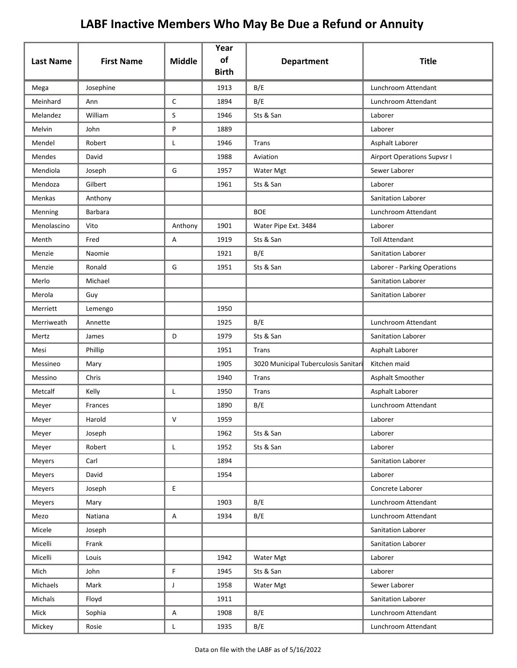| <b>Last Name</b> | <b>First Name</b> | <b>Middle</b> | Year<br>of   | <b>Department</b>                    | <b>Title</b>                       |
|------------------|-------------------|---------------|--------------|--------------------------------------|------------------------------------|
|                  |                   |               | <b>Birth</b> |                                      |                                    |
| Mega             | Josephine         |               | 1913         | B/E                                  | Lunchroom Attendant                |
| Meinhard         | Ann               | $\mathsf C$   | 1894         | B/E                                  | Lunchroom Attendant                |
| Melandez         | William           | S             | 1946         | Sts & San                            | Laborer                            |
| Melvin           | John              | P             | 1889         |                                      | Laborer                            |
| Mendel           | Robert            | Г             | 1946         | Trans                                | Asphalt Laborer                    |
| Mendes           | David             |               | 1988         | Aviation                             | <b>Airport Operations Supvsr I</b> |
| Mendiola         | Joseph            | G             | 1957         | Water Mgt                            | Sewer Laborer                      |
| Mendoza          | Gilbert           |               | 1961         | Sts & San                            | Laborer                            |
| Menkas           | Anthony           |               |              |                                      | Sanitation Laborer                 |
| Menning          | <b>Barbara</b>    |               |              | <b>BOE</b>                           | Lunchroom Attendant                |
| Menolascino      | Vito              | Anthony       | 1901         | Water Pipe Ext. 3484                 | Laborer                            |
| Menth            | Fred              | Α             | 1919         | Sts & San                            | <b>Toll Attendant</b>              |
| Menzie           | Naomie            |               | 1921         | B/E                                  | Sanitation Laborer                 |
| Menzie           | Ronald            | G             | 1951         | Sts & San                            | Laborer - Parking Operations       |
| Merlo            | Michael           |               |              |                                      | <b>Sanitation Laborer</b>          |
| Merola           | Guy               |               |              |                                      | Sanitation Laborer                 |
| Merriett         | Lemengo           |               | 1950         |                                      |                                    |
| Merriweath       | Annette           |               | 1925         | B/E                                  | Lunchroom Attendant                |
| Mertz            | James             | D             | 1979         | Sts & San                            | Sanitation Laborer                 |
| Mesi             | Phillip           |               | 1951         | Trans                                | Asphalt Laborer                    |
| Messineo         | Mary              |               | 1905         | 3020 Municipal Tuberculosis Sanitari | Kitchen maid                       |
| Messino          | Chris             |               | 1940         | Trans                                | Asphalt Smoother                   |
| Metcalf          | Kelly             | Г             | 1950         | Trans                                | Asphalt Laborer                    |
| Meyer            | Frances           |               | 1890         | B/E                                  | Lunchroom Attendant                |
| Meyer            | Harold            | V             | 1959         |                                      | Laborer                            |
| Meyer            | Joseph            |               | 1962         | Sts & San                            | Laborer                            |
| Meyer            | Robert            | L             | 1952         | Sts & San                            | Laborer                            |
| Meyers           | Carl              |               | 1894         |                                      | Sanitation Laborer                 |
| Meyers           | David             |               | 1954         |                                      | Laborer                            |
| Meyers           | Joseph            | E             |              |                                      | Concrete Laborer                   |
| Meyers           | Mary              |               | 1903         | B/E                                  | Lunchroom Attendant                |
| Mezo             | Natiana           | A             | 1934         | B/E                                  | Lunchroom Attendant                |
| Micele           | Joseph            |               |              |                                      | Sanitation Laborer                 |
| Micelli          | Frank             |               |              |                                      | Sanitation Laborer                 |
| Micelli          | Louis             |               | 1942         | Water Mgt                            | Laborer                            |
| Mich             | John              | $\mathsf F$   | 1945         | Sts & San                            | Laborer                            |
| Michaels         | Mark              | J             | 1958         | Water Mgt                            | Sewer Laborer                      |
| Michals          | Floyd             |               | 1911         |                                      | Sanitation Laborer                 |
| Mick             | Sophia            | A             | 1908         | B/E                                  | Lunchroom Attendant                |
| Mickey           | Rosie             | L             | 1935         | B/E                                  | Lunchroom Attendant                |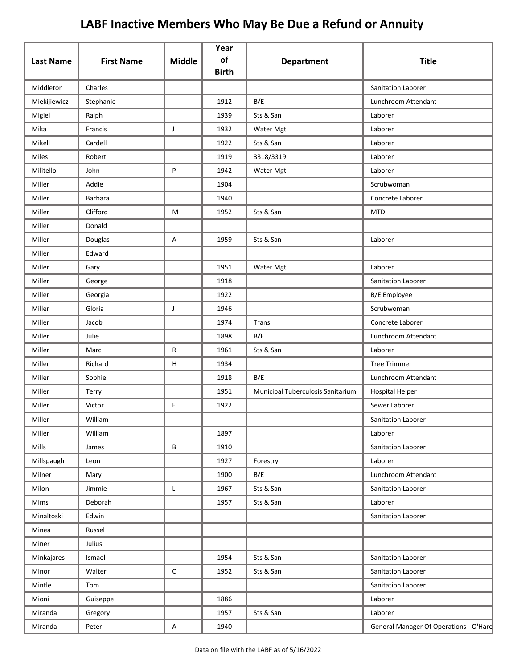|                  |                   |               | Year<br>of   |                                   |                                        |
|------------------|-------------------|---------------|--------------|-----------------------------------|----------------------------------------|
| <b>Last Name</b> | <b>First Name</b> | <b>Middle</b> | <b>Birth</b> | <b>Department</b>                 | <b>Title</b>                           |
| Middleton        | Charles           |               |              |                                   | Sanitation Laborer                     |
| Miekijiewicz     | Stephanie         |               | 1912         | B/E                               | Lunchroom Attendant                    |
| Migiel           | Ralph             |               | 1939         | Sts & San                         | Laborer                                |
| Mika             | Francis           | J             | 1932         | Water Mgt                         | Laborer                                |
| Mikell           | Cardell           |               | 1922         | Sts & San                         | Laborer                                |
| Miles            | Robert            |               | 1919         | 3318/3319                         | Laborer                                |
| Militello        | John              | P             | 1942         | Water Mgt                         | Laborer                                |
| Miller           | Addie             |               | 1904         |                                   | Scrubwoman                             |
| Miller           | <b>Barbara</b>    |               | 1940         |                                   | Concrete Laborer                       |
| Miller           | Clifford          | M             | 1952         | Sts & San                         | <b>MTD</b>                             |
| Miller           | Donald            |               |              |                                   |                                        |
| Miller           | Douglas           | Α             | 1959         | Sts & San                         | Laborer                                |
| Miller           | Edward            |               |              |                                   |                                        |
| Miller           | Gary              |               | 1951         | Water Mgt                         | Laborer                                |
| Miller           | George            |               | 1918         |                                   | Sanitation Laborer                     |
| Miller           | Georgia           |               | 1922         |                                   | <b>B/E</b> Employee                    |
| Miller           | Gloria            | J             | 1946         |                                   | Scrubwoman                             |
| Miller           | Jacob             |               | 1974         | Trans                             | Concrete Laborer                       |
| Miller           | Julie             |               | 1898         | B/E                               | Lunchroom Attendant                    |
| Miller           | Marc              | R             | 1961         | Sts & San                         | Laborer                                |
| Miller           | Richard           | H             | 1934         |                                   | <b>Tree Trimmer</b>                    |
| Miller           | Sophie            |               | 1918         | B/E                               | Lunchroom Attendant                    |
| Miller           | Terry             |               | 1951         | Municipal Tuberculosis Sanitarium | <b>Hospital Helper</b>                 |
| Miller           | Victor            | Ε             | 1922         |                                   | Sewer Laborer                          |
| Miller           | William           |               |              |                                   | Sanitation Laborer                     |
| Miller           | William           |               | 1897         |                                   | Laborer                                |
| <b>Mills</b>     | James             | B             | 1910         |                                   | Sanitation Laborer                     |
| Millspaugh       | Leon              |               | 1927         | Forestry                          | Laborer                                |
| Milner           | Mary              |               | 1900         | B/E                               | Lunchroom Attendant                    |
| Milon            | Jimmie            | L             | 1967         | Sts & San                         | Sanitation Laborer                     |
| Mims             | Deborah           |               | 1957         | Sts & San                         | Laborer                                |
| Minaltoski       | Edwin             |               |              |                                   | Sanitation Laborer                     |
| Minea            | Russel            |               |              |                                   |                                        |
| Miner            | Julius            |               |              |                                   |                                        |
| Minkajares       | Ismael            |               | 1954         | Sts & San                         | Sanitation Laborer                     |
| Minor            | Walter            | $\mathsf C$   | 1952         | Sts & San                         | Sanitation Laborer                     |
| Mintle           | Tom               |               |              |                                   | Sanitation Laborer                     |
| Mioni            | Guiseppe          |               | 1886         |                                   | Laborer                                |
| Miranda          | Gregory           |               | 1957         | Sts & San                         | Laborer                                |
| Miranda          | Peter             | A             | 1940         |                                   | General Manager Of Operations - O'Hare |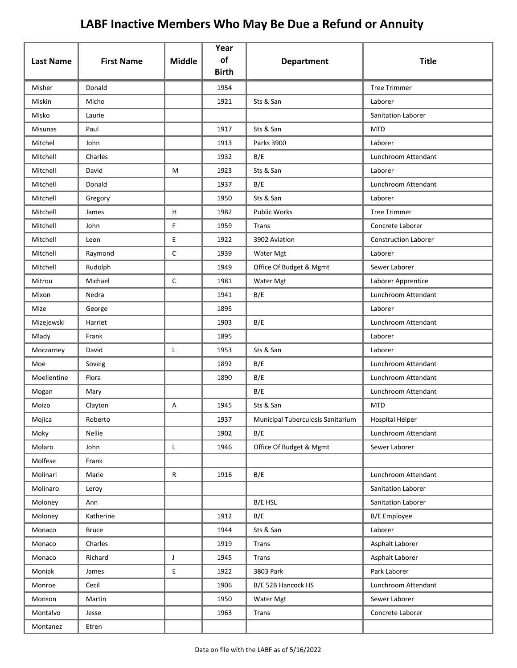|                  |                   |               | Year<br>of   |                                   |                             |
|------------------|-------------------|---------------|--------------|-----------------------------------|-----------------------------|
| <b>Last Name</b> | <b>First Name</b> | <b>Middle</b> | <b>Birth</b> | <b>Department</b>                 | <b>Title</b>                |
| Misher           | Donald            |               | 1954         |                                   | <b>Tree Trimmer</b>         |
| Miskin           | Micho             |               | 1921         | Sts & San                         | Laborer                     |
| Misko            | Laurie            |               |              |                                   | Sanitation Laborer          |
| <b>Misunas</b>   | Paul              |               | 1917         | Sts & San                         | <b>MTD</b>                  |
| Mitchel          | John              |               | 1913         | Parks 3900                        | Laborer                     |
| Mitchell         | Charles           |               | 1932         | B/E                               | Lunchroom Attendant         |
| Mitchell         | David             | М             | 1923         | Sts & San                         | Laborer                     |
| Mitchell         | Donald            |               | 1937         | B/E                               | Lunchroom Attendant         |
| Mitchell         | Gregory           |               | 1950         | Sts & San                         | Laborer                     |
| Mitchell         | James             | н             | 1982         | Public Works                      | <b>Tree Trimmer</b>         |
| Mitchell         | John              | F             | 1959         | Trans                             | Concrete Laborer            |
| Mitchell         | Leon              | E             | 1922         | 3902 Aviation                     | <b>Construction Laborer</b> |
| Mitchell         | Raymond           | C             | 1939         | Water Mgt                         | Laborer                     |
| Mitchell         | Rudolph           |               | 1949         | Office Of Budget & Mgmt           | Sewer Laborer               |
| Mitrou           | Michael           | C             | 1981         | Water Mgt                         | Laborer Apprentice          |
| Mixon            | Nedra             |               | 1941         | B/E                               | Lunchroom Attendant         |
| Mize             | George            |               | 1895         |                                   | Laborer                     |
| Mizejewski       | Harriet           |               | 1903         | B/E                               | Lunchroom Attendant         |
| Mlady            | Frank             |               | 1895         |                                   | Laborer                     |
| Moczarney        | David             | Г             | 1953         | Sts & San                         | Laborer                     |
| Moe              | Soveig            |               | 1892         | B/E                               | Lunchroom Attendant         |
| Moellentine      | Flora             |               | 1890         | B/E                               | Lunchroom Attendant         |
| Mogan            | Mary              |               |              | B/E                               | Lunchroom Attendant         |
| Moizo            | Clayton           | Α             | 1945         | Sts & San                         | <b>MTD</b>                  |
| Mojica           | Roberto           |               | 1937         | Municipal Tuberculosis Sanitarium | <b>Hospital Helper</b>      |
| Moky             | Nellie            |               | 1902         | B/E                               | Lunchroom Attendant         |
| Molaro           | John              | Г             | 1946         | Office Of Budget & Mgmt           | Sewer Laborer               |
| Molfese          | Frank             |               |              |                                   |                             |
| Molinari         | Marie             | R             | 1916         | B/E                               | Lunchroom Attendant         |
| Molinaro         | Leroy             |               |              |                                   | Sanitation Laborer          |
| Moloney          | Ann               |               |              | B/E HSL                           | Sanitation Laborer          |
| Moloney          | Katherine         |               | 1912         | B/E                               | <b>B/E</b> Employee         |
| Monaco           | <b>Bruce</b>      |               | 1944         | Sts & San                         | Laborer                     |
| Monaco           | Charles           |               | 1919         | Trans                             | Asphalt Laborer             |
| Monaco           | Richard           | J             | 1945         | Trans                             | Asphalt Laborer             |
| Moniak           | James             | E             | 1922         | 3803 Park                         | Park Laborer                |
| Monroe           | Cecil             |               | 1906         | B/E 52B Hancock HS                | Lunchroom Attendant         |
| Monson           | Martin            |               | 1950         | Water Mgt                         | Sewer Laborer               |
| Montalvo         | Jesse             |               | 1963         | Trans                             | Concrete Laborer            |
| Montanez         | Etren             |               |              |                                   |                             |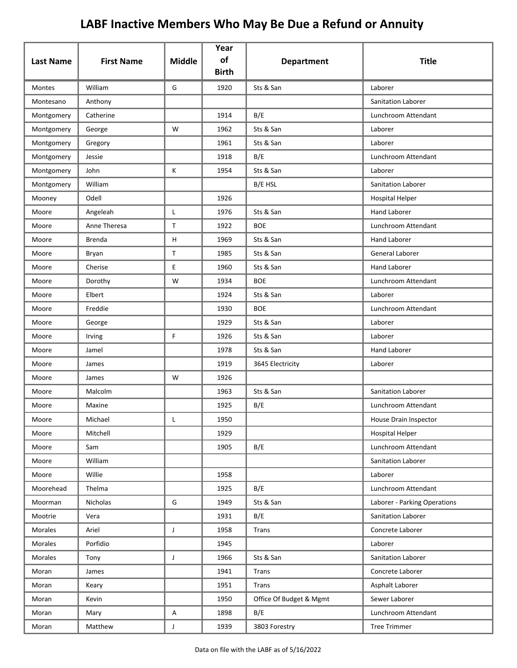| <b>Last Name</b> | <b>First Name</b> | <b>Middle</b> | Year<br>of<br><b>Birth</b> | <b>Department</b>       | <b>Title</b>                 |
|------------------|-------------------|---------------|----------------------------|-------------------------|------------------------------|
| Montes           | William           | G             | 1920                       | Sts & San               | Laborer                      |
| Montesano        | Anthony           |               |                            |                         | <b>Sanitation Laborer</b>    |
| Montgomery       | Catherine         |               | 1914                       | B/E                     | Lunchroom Attendant          |
| Montgomery       | George            | W             | 1962                       | Sts & San               | Laborer                      |
| Montgomery       | Gregory           |               | 1961                       | Sts & San               | Laborer                      |
| Montgomery       | Jessie            |               | 1918                       | B/E                     | Lunchroom Attendant          |
| Montgomery       | John              | Κ             | 1954                       | Sts & San               | Laborer                      |
| Montgomery       | William           |               |                            | B/E HSL                 | Sanitation Laborer           |
| Mooney           | Odell             |               | 1926                       |                         | <b>Hospital Helper</b>       |
| Moore            | Angeleah          | L             | 1976                       | Sts & San               | Hand Laborer                 |
| Moore            | Anne Theresa      | T             | 1922                       | <b>BOE</b>              | Lunchroom Attendant          |
| Moore            | <b>Brenda</b>     | H             | 1969                       | Sts & San               | <b>Hand Laborer</b>          |
| Moore            | Bryan             | T             | 1985                       | Sts & San               | General Laborer              |
| Moore            | Cherise           | E             | 1960                       | Sts & San               | Hand Laborer                 |
| Moore            | Dorothy           | W             | 1934                       | <b>BOE</b>              | Lunchroom Attendant          |
| Moore            | Elbert            |               | 1924                       | Sts & San               | Laborer                      |
| Moore            | Freddie           |               | 1930                       | <b>BOE</b>              | Lunchroom Attendant          |
| Moore            | George            |               | 1929                       | Sts & San               | Laborer                      |
| Moore            | Irving            | F.            | 1926                       | Sts & San               | Laborer                      |
| Moore            | Jamel             |               | 1978                       | Sts & San               | Hand Laborer                 |
| Moore            | James             |               | 1919                       | 3645 Electricity        | Laborer                      |
| Moore            | James             | W             | 1926                       |                         |                              |
| Moore            | Malcolm           |               | 1963                       | Sts & San               | <b>Sanitation Laborer</b>    |
| Moore            | Maxine            |               | 1925                       | B/E                     | Lunchroom Attendant          |
| Moore            | Michael           |               | 1950                       |                         | House Drain Inspector        |
| Moore            | Mitchell          |               | 1929                       |                         | <b>Hospital Helper</b>       |
| Moore            | Sam               |               | 1905                       | B/E                     | Lunchroom Attendant          |
| Moore            | William           |               |                            |                         | Sanitation Laborer           |
| Moore            | Willie            |               | 1958                       |                         | Laborer                      |
| Moorehead        | Thelma            |               | 1925                       | B/E                     | Lunchroom Attendant          |
| Moorman          | Nicholas          | G             | 1949                       | Sts & San               | Laborer - Parking Operations |
| Mootrie          | Vera              |               | 1931                       | B/E                     | Sanitation Laborer           |
| Morales          | Ariel             | J             | 1958                       | Trans                   | Concrete Laborer             |
| Morales          | Porfidio          |               | 1945                       |                         | Laborer                      |
| Morales          | Tony              | J             | 1966                       | Sts & San               | Sanitation Laborer           |
| Moran            | James             |               | 1941                       | Trans                   | Concrete Laborer             |
| Moran            | Keary             |               | 1951                       | Trans                   | Asphalt Laborer              |
| Moran            | Kevin             |               | 1950                       | Office Of Budget & Mgmt | Sewer Laborer                |
| Moran            | Mary              | Α             | 1898                       | B/E                     | Lunchroom Attendant          |
| Moran            | Matthew           | J             | 1939                       | 3803 Forestry           | <b>Tree Trimmer</b>          |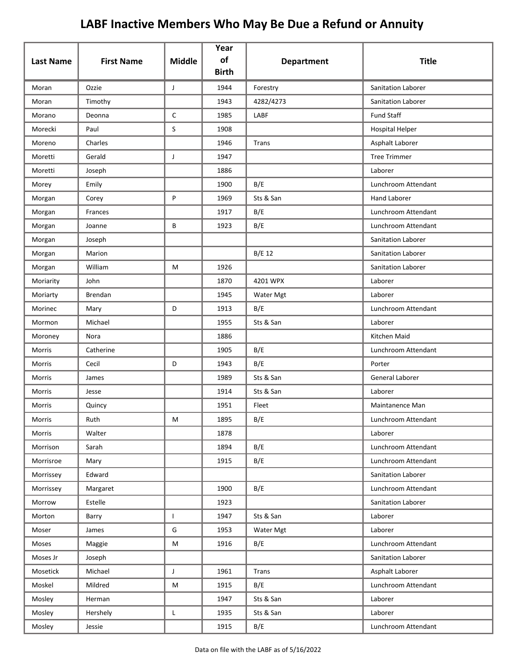| <b>Last Name</b> | <b>First Name</b> | <b>Middle</b> | Year<br>of<br><b>Birth</b> | <b>Department</b> | <b>Title</b>              |
|------------------|-------------------|---------------|----------------------------|-------------------|---------------------------|
| Moran            | Ozzie             | J             | 1944                       | Forestry          | Sanitation Laborer        |
| Moran            | Timothy           |               | 1943                       | 4282/4273         | <b>Sanitation Laborer</b> |
| Morano           | Deonna            | $\mathsf{C}$  | 1985                       | LABF              | <b>Fund Staff</b>         |
| Morecki          | Paul              | S             | 1908                       |                   | <b>Hospital Helper</b>    |
| Moreno           | Charles           |               | 1946                       | <b>Trans</b>      | Asphalt Laborer           |
| Moretti          | Gerald            | J             | 1947                       |                   | <b>Tree Trimmer</b>       |
| Moretti          | Joseph            |               | 1886                       |                   | Laborer                   |
| Morey            | Emily             |               | 1900                       | B/E               | Lunchroom Attendant       |
| Morgan           | Corey             | P             | 1969                       | Sts & San         | <b>Hand Laborer</b>       |
| Morgan           | Frances           |               | 1917                       | B/E               | Lunchroom Attendant       |
| Morgan           | Joanne            | B             | 1923                       | B/E               | Lunchroom Attendant       |
| Morgan           | Joseph            |               |                            |                   | Sanitation Laborer        |
| Morgan           | Marion            |               |                            | B/E 12            | <b>Sanitation Laborer</b> |
| Morgan           | William           | M             | 1926                       |                   | Sanitation Laborer        |
| Moriarity        | John              |               | 1870                       | 4201 WPX          | Laborer                   |
| Moriarty         | Brendan           |               | 1945                       | Water Mgt         | Laborer                   |
| Morinec          | Mary              | D             | 1913                       | B/E               | Lunchroom Attendant       |
| Mormon           | Michael           |               | 1955                       | Sts & San         | Laborer                   |
| Moroney          | Nora              |               | 1886                       |                   | Kitchen Maid              |
| Morris           | Catherine         |               | 1905                       | B/E               | Lunchroom Attendant       |
| Morris           | Cecil             | D             | 1943                       | B/E               | Porter                    |
| Morris           | James             |               | 1989                       | Sts & San         | General Laborer           |
| Morris           | Jesse             |               | 1914                       | Sts & San         | Laborer                   |
| Morris           | Quincy            |               | 1951                       | Fleet             | Maintanence Man           |
| Morris           | Ruth              | M             | 1895                       | B/E               | Lunchroom Attendant       |
| Morris           | Walter            |               | 1878                       |                   | Laborer                   |
| Morrison         | Sarah             |               | 1894                       | B/E               | Lunchroom Attendant       |
| Morrisroe        | Mary              |               | 1915                       | B/E               | Lunchroom Attendant       |
| Morrissey        | Edward            |               |                            |                   | Sanitation Laborer        |
| Morrissey        | Margaret          |               | 1900                       | B/E               | Lunchroom Attendant       |
| Morrow           | Estelle           |               | 1923                       |                   | Sanitation Laborer        |
| Morton           | Barry             | $\mathbf{L}$  | 1947                       | Sts & San         | Laborer                   |
| Moser            | James             | G             | 1953                       | Water Mgt         | Laborer                   |
| Moses            | Maggie            | M             | 1916                       | B/E               | Lunchroom Attendant       |
| Moses Jr         | Joseph            |               |                            |                   | Sanitation Laborer        |
| Mosetick         | Michael           | $\mathsf{J}$  | 1961                       | Trans             | Asphalt Laborer           |
| Moskel           | Mildred           | M             | 1915                       | B/E               | Lunchroom Attendant       |
| Mosley           | Herman            |               | 1947                       | Sts & San         | Laborer                   |
| Mosley           | Hershely          | L             | 1935                       | Sts & San         | Laborer                   |
| Mosley           | Jessie            |               | 1915                       | B/E               | Lunchroom Attendant       |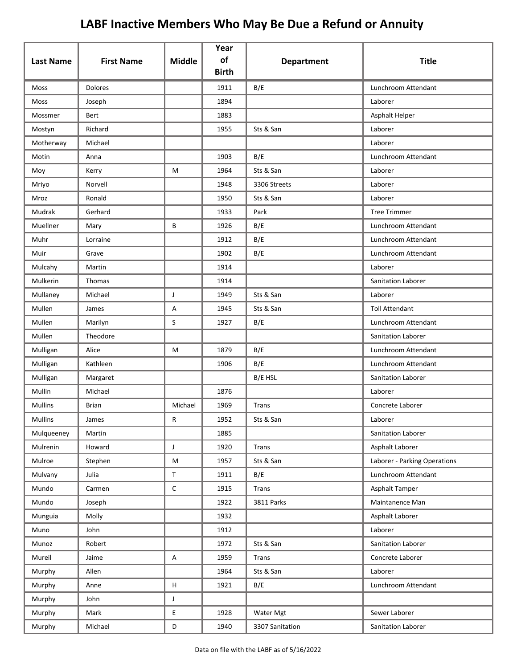| <b>Last Name</b> | <b>First Name</b> | <b>Middle</b> | Year<br>of   | <b>Department</b> | <b>Title</b>                 |
|------------------|-------------------|---------------|--------------|-------------------|------------------------------|
|                  |                   |               | <b>Birth</b> |                   |                              |
| Moss             | <b>Dolores</b>    |               | 1911         | B/E               | Lunchroom Attendant          |
| Moss             | Joseph            |               | 1894         |                   | Laborer                      |
| Mossmer          | Bert              |               | 1883         |                   | Asphalt Helper               |
| Mostyn           | Richard           |               | 1955         | Sts & San         | Laborer                      |
| Motherway        | Michael           |               |              |                   | Laborer                      |
| Motin            | Anna              |               | 1903         | B/E               | Lunchroom Attendant          |
| Moy              | Kerry             | М             | 1964         | Sts & San         | Laborer                      |
| Mriyo            | Norvell           |               | 1948         | 3306 Streets      | Laborer                      |
| Mroz             | Ronald            |               | 1950         | Sts & San         | Laborer                      |
| Mudrak           | Gerhard           |               | 1933         | Park              | <b>Tree Trimmer</b>          |
| Muellner         | Mary              | В             | 1926         | B/E               | Lunchroom Attendant          |
| Muhr             | Lorraine          |               | 1912         | B/E               | Lunchroom Attendant          |
| Muir             | Grave             |               | 1902         | B/E               | Lunchroom Attendant          |
| Mulcahy          | Martin            |               | 1914         |                   | Laborer                      |
| Mulkerin         | Thomas            |               | 1914         |                   | Sanitation Laborer           |
| Mullaney         | Michael           | $\mathsf{J}$  | 1949         | Sts & San         | Laborer                      |
| Mullen           | James             | Α             | 1945         | Sts & San         | <b>Toll Attendant</b>        |
| Mullen           | Marilyn           | S             | 1927         | B/E               | Lunchroom Attendant          |
| Mullen           | Theodore          |               |              |                   | Sanitation Laborer           |
| Mulligan         | Alice             | М             | 1879         | B/E               | Lunchroom Attendant          |
| Mulligan         | Kathleen          |               | 1906         | B/E               | Lunchroom Attendant          |
| Mulligan         | Margaret          |               |              | B/E HSL           | Sanitation Laborer           |
| Mullin           | Michael           |               | 1876         |                   | Laborer                      |
| <b>Mullins</b>   | <b>Brian</b>      | Michael       | 1969         | <b>Trans</b>      | Concrete Laborer             |
| <b>Mullins</b>   | James             | R             | 1952         | Sts & San         | Laborer                      |
| Mulqueeney       | Martin            |               | 1885         |                   | Sanitation Laborer           |
| Mulrenin         | Howard            | J             | 1920         | Trans             | Asphalt Laborer              |
| Mulroe           | Stephen           | M             | 1957         | Sts & San         | Laborer - Parking Operations |
| Mulvany          | Julia             | T             | 1911         | B/E               | Lunchroom Attendant          |
| Mundo            | Carmen            | $\mathsf C$   | 1915         | <b>Trans</b>      | Asphalt Tamper               |
| Mundo            | Joseph            |               | 1922         | 3811 Parks        | Maintanence Man              |
| Munguia          | Molly             |               | 1932         |                   | Asphalt Laborer              |
| Muno             | John              |               | 1912         |                   | Laborer                      |
| Munoz            | Robert            |               | 1972         | Sts & San         | Sanitation Laborer           |
| Mureil           | Jaime             | А             | 1959         | <b>Trans</b>      | Concrete Laborer             |
| Murphy           | Allen             |               | 1964         | Sts & San         | Laborer                      |
| Murphy           | Anne              | н             | 1921         | B/E               | Lunchroom Attendant          |
| Murphy           | John              | J             |              |                   |                              |
| Murphy           | Mark              | E             | 1928         | Water Mgt         | Sewer Laborer                |
| Murphy           | Michael           | D             | 1940         | 3307 Sanitation   | Sanitation Laborer           |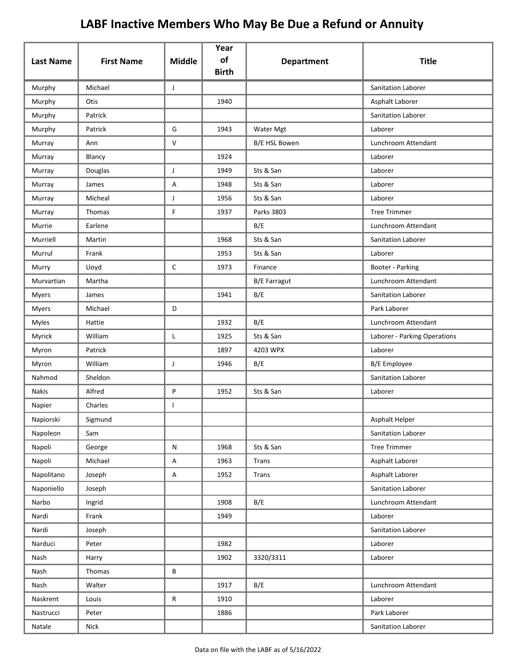| <b>Last Name</b> | <b>First Name</b> | <b>Middle</b> | Year<br>of   | <b>Department</b>   | <b>Title</b>                 |
|------------------|-------------------|---------------|--------------|---------------------|------------------------------|
|                  |                   |               | <b>Birth</b> |                     |                              |
| Murphy           | Michael           | J             |              |                     | Sanitation Laborer           |
| Murphy           | Otis              |               | 1940         |                     | Asphalt Laborer              |
| Murphy           | Patrick           |               |              |                     | Sanitation Laborer           |
| Murphy           | Patrick           | G             | 1943         | Water Mgt           | Laborer                      |
| Murray           | Ann               | $\vee$        |              | B/E HSL Bowen       | Lunchroom Attendant          |
| Murray           | Blancy            |               | 1924         |                     | Laborer                      |
| Murray           | Douglas           | J             | 1949         | Sts & San           | Laborer                      |
| Murray           | James             | Α             | 1948         | Sts & San           | Laborer                      |
| Murray           | Micheal           | J             | 1956         | Sts & San           | Laborer                      |
| Murray           | Thomas            | F.            | 1937         | Parks 3803          | <b>Tree Trimmer</b>          |
| Murrie           | Earlene           |               |              | B/E                 | Lunchroom Attendant          |
| Murriell         | Martin            |               | 1968         | Sts & San           | Sanitation Laborer           |
| Murrul           | Frank             |               | 1953         | Sts & San           | Laborer                      |
| Murry            | Lloyd             | $\mathsf C$   | 1973         | Finance             | Booter - Parking             |
| Murvartian       | Martha            |               |              | <b>B/E Farragut</b> | Lunchroom Attendant          |
| <b>Myers</b>     | James             |               | 1941         | B/E                 | Sanitation Laborer           |
| Myers            | Michael           | D             |              |                     | Park Laborer                 |
| <b>Myles</b>     | Hattie            |               | 1932         | B/E                 | Lunchroom Attendant          |
| Myrick           | William           | L             | 1925         | Sts & San           | Laborer - Parking Operations |
| Myron            | Patrick           |               | 1897         | 4203 WPX            | Laborer                      |
| Myron            | William           | J             | 1946         | B/E                 | <b>B/E</b> Employee          |
| Nahmod           | Sheldon           |               |              |                     | Sanitation Laborer           |
| <b>Nakis</b>     | Alfred            | P             | 1952         | Sts & San           | Laborer                      |
| Napier           | Charles           | T             |              |                     |                              |
| Napiorski        | Sigmund           |               |              |                     | Asphalt Helper               |
| Napoleon         | Sam               |               |              |                     | Sanitation Laborer           |
| Napoli           | George            | ${\sf N}$     | 1968         | Sts & San           | <b>Tree Trimmer</b>          |
| Napoli           | Michael           | Α             | 1963         | Trans               | Asphalt Laborer              |
| Napolitano       | Joseph            | $\mathsf A$   | 1952         | Trans               | Asphalt Laborer              |
| Naponiello       | Joseph            |               |              |                     | Sanitation Laborer           |
| Narbo            | Ingrid            |               | 1908         | B/E                 | Lunchroom Attendant          |
| Nardi            | Frank             |               | 1949         |                     | Laborer                      |
| Nardi            | Joseph            |               |              |                     | Sanitation Laborer           |
| Narduci          | Peter             |               | 1982         |                     | Laborer                      |
| Nash             | Harry             |               | 1902         | 3320/3311           | Laborer                      |
| Nash             | Thomas            | В             |              |                     |                              |
| Nash             | Walter            |               | 1917         | B/E                 | Lunchroom Attendant          |
| Naskrent         | Louis             | ${\sf R}$     | 1910         |                     | Laborer                      |
| Nastrucci        | Peter             |               | 1886         |                     | Park Laborer                 |
| Natale           | Nick              |               |              |                     | Sanitation Laborer           |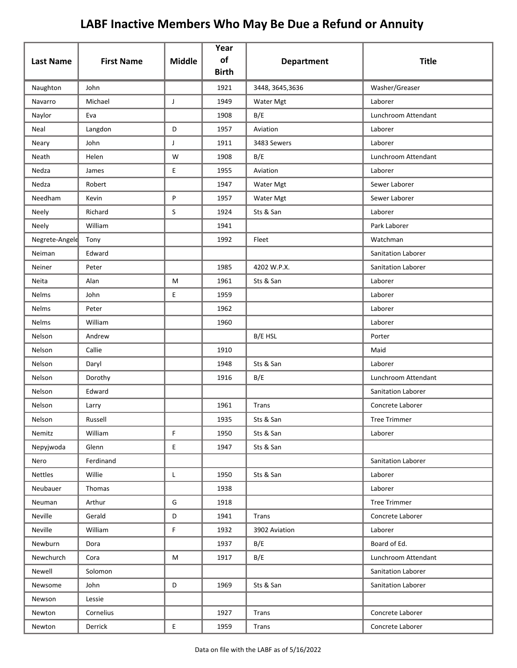| <b>Last Name</b> | <b>First Name</b> | <b>Middle</b> | Year<br>of   | <b>Department</b> | <b>Title</b>        |
|------------------|-------------------|---------------|--------------|-------------------|---------------------|
|                  |                   |               | <b>Birth</b> |                   |                     |
| Naughton         | John              |               | 1921         | 3448, 3645, 3636  | Washer/Greaser      |
| Navarro          | Michael           | J             | 1949         | Water Mgt         | Laborer             |
| Naylor           | Eva               |               | 1908         | B/E               | Lunchroom Attendant |
| Neal             | Langdon           | D             | 1957         | Aviation          | Laborer             |
| Neary            | John              | J             | 1911         | 3483 Sewers       | Laborer             |
| Neath            | Helen             | W             | 1908         | B/E               | Lunchroom Attendant |
| Nedza            | James             | E             | 1955         | Aviation          | Laborer             |
| Nedza            | Robert            |               | 1947         | Water Mgt         | Sewer Laborer       |
| Needham          | Kevin             | P             | 1957         | Water Mgt         | Sewer Laborer       |
| Neely            | Richard           | S             | 1924         | Sts & San         | Laborer             |
| Neely            | William           |               | 1941         |                   | Park Laborer        |
| Negrete-Angele   | Tony              |               | 1992         | Fleet             | Watchman            |
| Neiman           | Edward            |               |              |                   | Sanitation Laborer  |
| Neiner           | Peter             |               | 1985         | 4202 W.P.X.       | Sanitation Laborer  |
| Neita            | Alan              | М             | 1961         | Sts & San         | Laborer             |
| <b>Nelms</b>     | John              | E             | 1959         |                   | Laborer             |
| Nelms            | Peter             |               | 1962         |                   | Laborer             |
| Nelms            | William           |               | 1960         |                   | Laborer             |
| Nelson           | Andrew            |               |              | B/E HSL           | Porter              |
| Nelson           | Callie            |               | 1910         |                   | Maid                |
| Nelson           | Daryl             |               | 1948         | Sts & San         | Laborer             |
| Nelson           | Dorothy           |               | 1916         | B/E               | Lunchroom Attendant |
| Nelson           | Edward            |               |              |                   | Sanitation Laborer  |
| Nelson           | Larry             |               | 1961         | Trans             | Concrete Laborer    |
| Nelson           | Russell           |               | 1935         | Sts & San         | <b>Tree Trimmer</b> |
| Nemitz           | William           | F.            | 1950         | Sts & San         | Laborer             |
| Nepyjwoda        | Glenn             | E.            | 1947         | Sts & San         |                     |
| Nero             | Ferdinand         |               |              |                   | Sanitation Laborer  |
| Nettles          | Willie            | L             | 1950         | Sts & San         | Laborer             |
| Neubauer         | Thomas            |               | 1938         |                   | Laborer             |
| Neuman           | Arthur            | G             | 1918         |                   | <b>Tree Trimmer</b> |
| Neville          | Gerald            | D             | 1941         | Trans             | Concrete Laborer    |
| Neville          | William           | F             | 1932         | 3902 Aviation     | Laborer             |
| Newburn          | Dora              |               | 1937         | B/E               | Board of Ed.        |
| Newchurch        | Cora              | М             | 1917         | B/E               | Lunchroom Attendant |
| Newell           | Solomon           |               |              |                   | Sanitation Laborer  |
| Newsome          | John              | D             | 1969         | Sts & San         | Sanitation Laborer  |
| Newson           | Lessie            |               |              |                   |                     |
| Newton           | Cornelius         |               | 1927         | Trans             | Concrete Laborer    |
| Newton           | Derrick           | E.            | 1959         | Trans             | Concrete Laborer    |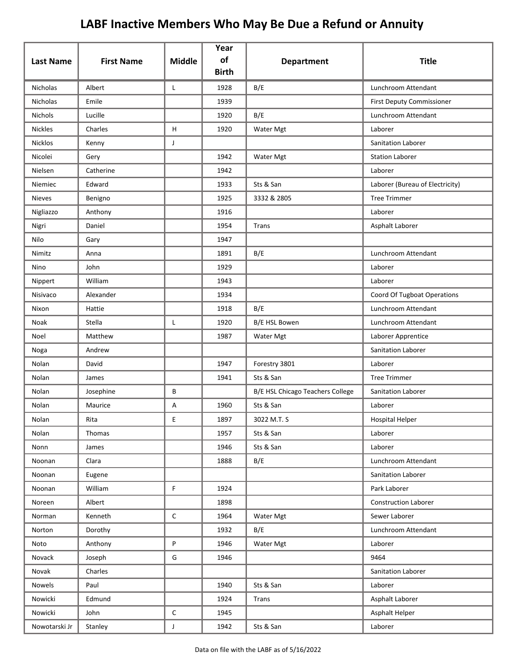| <b>Last Name</b> | <b>First Name</b> | <b>Middle</b> | Year<br>of<br><b>Birth</b> | <b>Department</b>                | <b>Title</b>                    |
|------------------|-------------------|---------------|----------------------------|----------------------------------|---------------------------------|
| <b>Nicholas</b>  | Albert            | L             | 1928                       | B/E                              | Lunchroom Attendant             |
| Nicholas         | Emile             |               | 1939                       |                                  | First Deputy Commissioner       |
| Nichols          | Lucille           |               | 1920                       | B/E                              | Lunchroom Attendant             |
| <b>Nickles</b>   | Charles           | H             | 1920                       | Water Mgt                        | Laborer                         |
| <b>Nicklos</b>   | Kenny             | J             |                            |                                  | Sanitation Laborer              |
| Nicolei          | Gery              |               | 1942                       | Water Mgt                        | <b>Station Laborer</b>          |
| Nielsen          | Catherine         |               | 1942                       |                                  | Laborer                         |
| Niemiec          | Edward            |               | 1933                       | Sts & San                        | Laborer (Bureau of Electricity) |
| <b>Nieves</b>    | Benigno           |               | 1925                       | 3332 & 2805                      | <b>Tree Trimmer</b>             |
| Nigliazzo        | Anthony           |               | 1916                       |                                  | Laborer                         |
| Nigri            | Daniel            |               | 1954                       | Trans                            | Asphalt Laborer                 |
| Nilo             | Gary              |               | 1947                       |                                  |                                 |
| Nimitz           | Anna              |               | 1891                       | B/E                              | Lunchroom Attendant             |
| Nino             | John              |               | 1929                       |                                  | Laborer                         |
| Nippert          | William           |               | 1943                       |                                  | Laborer                         |
| Nisivaco         | Alexander         |               | 1934                       |                                  | Coord Of Tugboat Operations     |
| Nixon            | Hattie            |               | 1918                       | B/E                              | Lunchroom Attendant             |
| Noak             | Stella            | L             | 1920                       | B/E HSL Bowen                    | Lunchroom Attendant             |
| Noel             | Matthew           |               | 1987                       | Water Mgt                        | Laborer Apprentice              |
| Noga             | Andrew            |               |                            |                                  | Sanitation Laborer              |
| Nolan            | David             |               | 1947                       | Forestry 3801                    | Laborer                         |
| Nolan            | James             |               | 1941                       | Sts & San                        | <b>Tree Trimmer</b>             |
| Nolan            | Josephine         | В             |                            | B/E HSL Chicago Teachers College | <b>Sanitation Laborer</b>       |
| Nolan            | Maurice           | Α             | 1960                       | Sts & San                        | Laborer                         |
| Nolan            | Rita              | E             | 1897                       | 3022 M.T. S                      | Hospital Helper                 |
| Nolan            | Thomas            |               | 1957                       | Sts & San                        | Laborer                         |
| Nonn             | James             |               | 1946                       | Sts & San                        | Laborer                         |
| Noonan           | Clara             |               | 1888                       | B/E                              | Lunchroom Attendant             |
| Noonan           | Eugene            |               |                            |                                  | Sanitation Laborer              |
| Noonan           | William           | F             | 1924                       |                                  | Park Laborer                    |
| Noreen           | Albert            |               | 1898                       |                                  | <b>Construction Laborer</b>     |
| Norman           | Kenneth           | $\mathsf{C}$  | 1964                       | Water Mgt                        | Sewer Laborer                   |
| Norton           | Dorothy           |               | 1932                       | B/E                              | Lunchroom Attendant             |
| Noto             | Anthony           | P             | 1946                       | Water Mgt                        | Laborer                         |
| Novack           | Joseph            | G             | 1946                       |                                  | 9464                            |
| Novak            | Charles           |               |                            |                                  | Sanitation Laborer              |
| Nowels           | Paul              |               | 1940                       | Sts & San                        | Laborer                         |
| Nowicki          | Edmund            |               | 1924                       | Trans                            | Asphalt Laborer                 |
| Nowicki          | John              | $\mathsf{C}$  | 1945                       |                                  | Asphalt Helper                  |
| Nowotarski Jr    | Stanley           | J             | 1942                       | Sts & San                        | Laborer                         |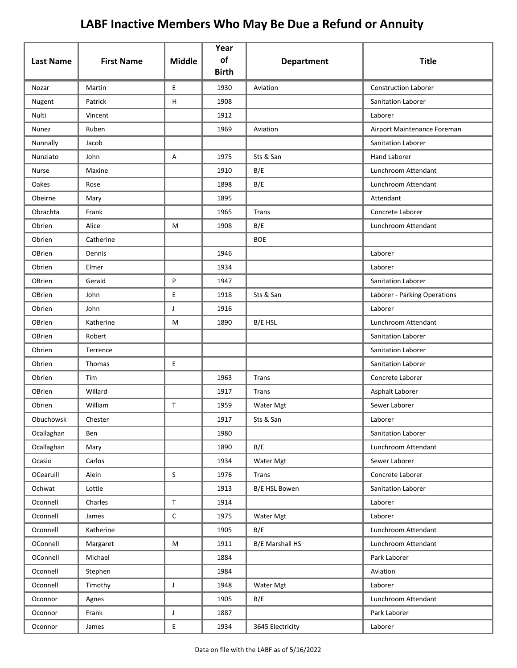| <b>Last Name</b> | <b>First Name</b> | <b>Middle</b> | Year<br>of<br><b>Birth</b> | <b>Department</b>      | <b>Title</b>                 |
|------------------|-------------------|---------------|----------------------------|------------------------|------------------------------|
| Nozar            | Martin            | E.            | 1930                       | Aviation               | <b>Construction Laborer</b>  |
| Nugent           | Patrick           | н             | 1908                       |                        | Sanitation Laborer           |
| Nulti            | Vincent           |               | 1912                       |                        | Laborer                      |
| Nunez            | Ruben             |               | 1969                       | Aviation               | Airport Maintenance Foreman  |
| Nunnally         | Jacob             |               |                            |                        | <b>Sanitation Laborer</b>    |
| Nunziato         | John              | Α             | 1975                       | Sts & San              | <b>Hand Laborer</b>          |
| Nurse            | Maxine            |               | 1910                       | B/E                    | Lunchroom Attendant          |
| Oakes            | Rose              |               | 1898                       | B/E                    | Lunchroom Attendant          |
| Obeirne          | Mary              |               | 1895                       |                        | Attendant                    |
| Obrachta         | Frank             |               | 1965                       | Trans                  | Concrete Laborer             |
| Obrien           | Alice             | М             | 1908                       | B/E                    | Lunchroom Attendant          |
| Obrien           | Catherine         |               |                            | <b>BOE</b>             |                              |
| OBrien           | Dennis            |               | 1946                       |                        | Laborer                      |
| Obrien           | Elmer             |               | 1934                       |                        | Laborer                      |
| OBrien           | Gerald            | P             | 1947                       |                        | <b>Sanitation Laborer</b>    |
| OBrien           | John              | E             | 1918                       | Sts & San              | Laborer - Parking Operations |
| Obrien           | John              | J             | 1916                       |                        | Laborer                      |
| OBrien           | Katherine         | M             | 1890                       | B/E HSL                | Lunchroom Attendant          |
| OBrien           | Robert            |               |                            |                        | <b>Sanitation Laborer</b>    |
| Obrien           | Terrence          |               |                            |                        | <b>Sanitation Laborer</b>    |
| Obrien           | Thomas            | E             |                            |                        | Sanitation Laborer           |
| Obrien           | Tim               |               | 1963                       | Trans                  | Concrete Laborer             |
| OBrien           | Willard           |               | 1917                       | Trans                  | Asphalt Laborer              |
| Obrien           | William           | T             | 1959                       | Water Mgt              | Sewer Laborer                |
| Obuchowsk        | Chester           |               | 1917                       | Sts & San              | Laborer                      |
| Ocallaghan       | Ben               |               | 1980                       |                        | Sanitation Laborer           |
| Ocallaghan       | Mary              |               | 1890                       | B/E                    | Lunchroom Attendant          |
| Ocasio           | Carlos            |               | 1934                       | Water Mgt              | Sewer Laborer                |
| OCearuill        | Alein             | S             | 1976                       | Trans                  | Concrete Laborer             |
| Ochwat           | Lottie            |               | 1913                       | B/E HSL Bowen          | Sanitation Laborer           |
| Oconnell         | Charles           | $\mathsf T$   | 1914                       |                        | Laborer                      |
| Oconnell         | James             | C             | 1975                       | Water Mgt              | Laborer                      |
| Oconnell         | Katherine         |               | 1905                       | B/E                    | Lunchroom Attendant          |
| OConnell         | Margaret          | M             | 1911                       | <b>B/E Marshall HS</b> | Lunchroom Attendant          |
| OConnell         | Michael           |               | 1884                       |                        | Park Laborer                 |
| Oconnell         | Stephen           |               | 1984                       |                        | Aviation                     |
| Oconnell         | Timothy           | J             | 1948                       | Water Mgt              | Laborer                      |
| Oconnor          | Agnes             |               | 1905                       | B/E                    | Lunchroom Attendant          |
| Oconnor          | Frank             | J             | 1887                       |                        | Park Laborer                 |
| Oconnor          | James             | E             | 1934                       | 3645 Electricity       | Laborer                      |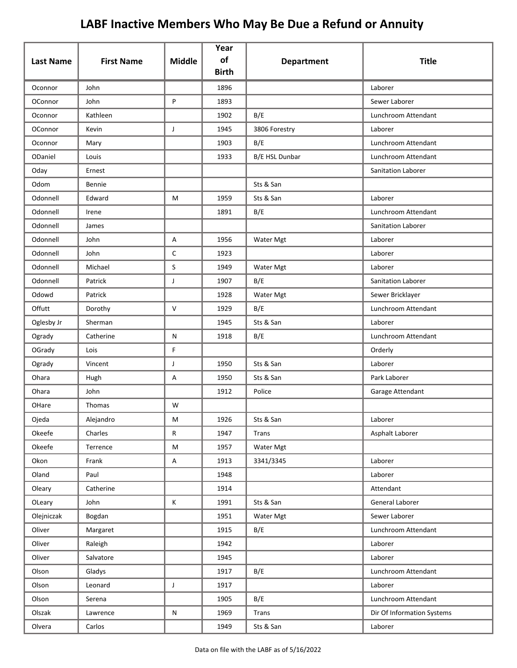| <b>Last Name</b> | <b>First Name</b> | <b>Middle</b> | Year<br>of   | <b>Department</b> | <b>Title</b>               |
|------------------|-------------------|---------------|--------------|-------------------|----------------------------|
|                  |                   |               | <b>Birth</b> |                   |                            |
| Oconnor          | John              |               | 1896         |                   | Laborer                    |
| OConnor          | John              | P             | 1893         |                   | Sewer Laborer              |
| Oconnor          | Kathleen          |               | 1902         | B/E               | Lunchroom Attendant        |
| OConnor          | Kevin             | J             | 1945         | 3806 Forestry     | Laborer                    |
| Oconnor          | Mary              |               | 1903         | B/E               | Lunchroom Attendant        |
| ODaniel          | Louis             |               | 1933         | B/E HSL Dunbar    | Lunchroom Attendant        |
| Oday             | Ernest            |               |              |                   | Sanitation Laborer         |
| Odom             | Bennie            |               |              | Sts & San         |                            |
| Odonnell         | Edward            | M             | 1959         | Sts & San         | Laborer                    |
| Odonnell         | Irene             |               | 1891         | B/E               | Lunchroom Attendant        |
| Odonnell         | James             |               |              |                   | Sanitation Laborer         |
| Odonnell         | John              | A             | 1956         | Water Mgt         | Laborer                    |
| Odonnell         | John              | $\mathsf{C}$  | 1923         |                   | Laborer                    |
| Odonnell         | Michael           | S             | 1949         | Water Mgt         | Laborer                    |
| Odonnell         | Patrick           | J             | 1907         | B/E               | Sanitation Laborer         |
| Odowd            | Patrick           |               | 1928         | Water Mgt         | Sewer Bricklayer           |
| Offutt           | Dorothy           | $\vee$        | 1929         | B/E               | Lunchroom Attendant        |
| Oglesby Jr       | Sherman           |               | 1945         | Sts & San         | Laborer                    |
| Ogrady           | Catherine         | N             | 1918         | B/E               | Lunchroom Attendant        |
| OGrady           | Lois              | F             |              |                   | Orderly                    |
| Ogrady           | Vincent           | J             | 1950         | Sts & San         | Laborer                    |
| Ohara            | Hugh              | Α             | 1950         | Sts & San         | Park Laborer               |
| Ohara            | John              |               | 1912         | Police            | Garage Attendant           |
| OHare            | Thomas            | W             |              |                   |                            |
| Ojeda            | Alejandro         | M             | 1926         | Sts & San         | Laborer                    |
| Okeefe           | Charles           | R             | 1947         | Trans             | Asphalt Laborer            |
| Okeefe           | Terrence          | M             | 1957         | Water Mgt         |                            |
| Okon             | Frank             | Α             | 1913         | 3341/3345         | Laborer                    |
| Oland            | Paul              |               | 1948         |                   | Laborer                    |
| Oleary           | Catherine         |               | 1914         |                   | Attendant                  |
| OLeary           | John              | K             | 1991         | Sts & San         | General Laborer            |
| Olejniczak       | Bogdan            |               | 1951         | Water Mgt         | Sewer Laborer              |
| Oliver           | Margaret          |               | 1915         | B/E               | Lunchroom Attendant        |
| Oliver           | Raleigh           |               | 1942         |                   | Laborer                    |
| Oliver           | Salvatore         |               | 1945         |                   | Laborer                    |
| Olson            | Gladys            |               | 1917         | B/E               | Lunchroom Attendant        |
| Olson            | Leonard           | $\mathsf{J}$  | 1917         |                   | Laborer                    |
| Olson            | Serena            |               | 1905         | B/E               | Lunchroom Attendant        |
| Olszak           | Lawrence          | N             | 1969         | <b>Trans</b>      | Dir Of Information Systems |
| Olvera           | Carlos            |               | 1949         | Sts & San         | Laborer                    |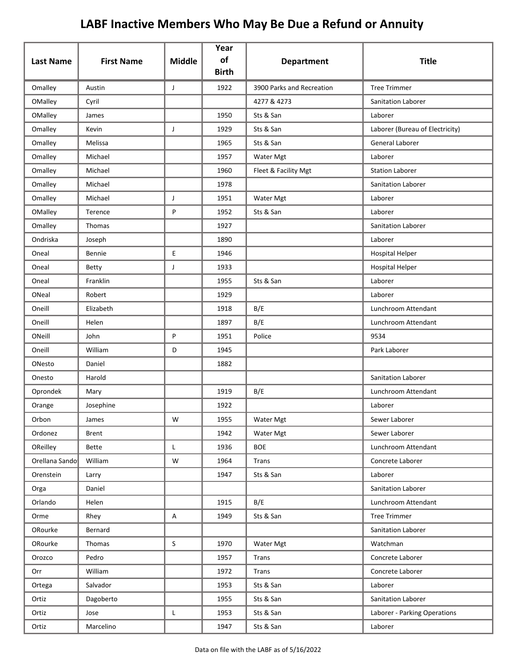| <b>Last Name</b> | <b>First Name</b> | <b>Middle</b> | Year<br>of   | <b>Department</b>         | <b>Title</b>                    |
|------------------|-------------------|---------------|--------------|---------------------------|---------------------------------|
|                  |                   |               | <b>Birth</b> |                           |                                 |
| Omalley          | Austin            | J             | 1922         | 3900 Parks and Recreation | <b>Tree Trimmer</b>             |
| OMalley          | Cyril             |               |              | 4277 & 4273               | Sanitation Laborer              |
| OMalley          | James             |               | 1950         | Sts & San                 | Laborer                         |
| Omalley          | Kevin             | J             | 1929         | Sts & San                 | Laborer (Bureau of Electricity) |
| Omalley          | Melissa           |               | 1965         | Sts & San                 | General Laborer                 |
| Omalley          | Michael           |               | 1957         | Water Mgt                 | Laborer                         |
| Omalley          | Michael           |               | 1960         | Fleet & Facility Mgt      | <b>Station Laborer</b>          |
| Omalley          | Michael           |               | 1978         |                           | Sanitation Laborer              |
| Omalley          | Michael           | J             | 1951         | Water Mgt                 | Laborer                         |
| OMalley          | Terence           | P             | 1952         | Sts & San                 | Laborer                         |
| Omalley          | Thomas            |               | 1927         |                           | Sanitation Laborer              |
| Ondriska         | Joseph            |               | 1890         |                           | Laborer                         |
| Oneal            | Bennie            | E             | 1946         |                           | <b>Hospital Helper</b>          |
| Oneal            | <b>Betty</b>      | J             | 1933         |                           | <b>Hospital Helper</b>          |
| Oneal            | Franklin          |               | 1955         | Sts & San                 | Laborer                         |
| ONeal            | Robert            |               | 1929         |                           | Laborer                         |
| Oneill           | Elizabeth         |               | 1918         | B/E                       | Lunchroom Attendant             |
| Oneill           | Helen             |               | 1897         | B/E                       | Lunchroom Attendant             |
| ONeill           | John              | P             | 1951         | Police                    | 9534                            |
| Oneill           | William           | D             | 1945         |                           | Park Laborer                    |
| ONesto           | Daniel            |               | 1882         |                           |                                 |
| Onesto           | Harold            |               |              |                           | Sanitation Laborer              |
| Oprondek         | Mary              |               | 1919         | B/E                       | Lunchroom Attendant             |
| Orange           | Josephine         |               | 1922         |                           | Laborer                         |
| Orbon            | James             | W             | 1955         | Water Mgt                 | Sewer Laborer                   |
| Ordonez          | Brent             |               | 1942         | Water Mgt                 | Sewer Laborer                   |
| OReilley         | Bette             | L             | 1936         | <b>BOE</b>                | Lunchroom Attendant             |
| Orellana Sando   | William           | W             | 1964         | Trans                     | Concrete Laborer                |
| Orenstein        | Larry             |               | 1947         | Sts & San                 | Laborer                         |
| Orga             | Daniel            |               |              |                           | Sanitation Laborer              |
| Orlando          | Helen             |               | 1915         | B/E                       | Lunchroom Attendant             |
| Orme             | Rhey              | Α             | 1949         | Sts & San                 | <b>Tree Trimmer</b>             |
| ORourke          | Bernard           |               |              |                           | Sanitation Laborer              |
| ORourke          | Thomas            | $\mathsf S$   | 1970         | Water Mgt                 | Watchman                        |
| Orozco           | Pedro             |               | 1957         | <b>Trans</b>              | Concrete Laborer                |
| Orr              | William           |               | 1972         | Trans                     | Concrete Laborer                |
| Ortega           | Salvador          |               | 1953         | Sts & San                 | Laborer                         |
| Ortiz            | Dagoberto         |               | 1955         | Sts & San                 | Sanitation Laborer              |
| Ortiz            | Jose              | L             | 1953         | Sts & San                 | Laborer - Parking Operations    |
| Ortiz            | Marcelino         |               | 1947         | Sts & San                 | Laborer                         |